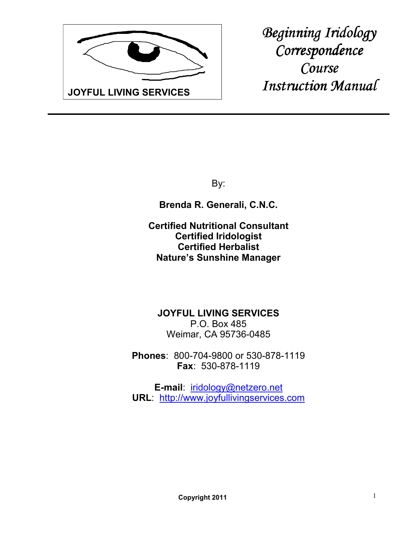

*Beginning Iridology Correspondence Course Instruction Manual* 

By:

**Brenda R. Generali, C.N.C.**

**Certified Nutritional Consultant Certified Iridologist Certified Herbalist Nature's Sunshine Manager**

**JOYFUL LIVING SERVICES** P.O. Box 485 Weimar, CA 95736-0485

**Phones**: 800-704-9800 or 530-878-1119 **Fax**: 530-878-1119

**E-mail**: iridology@netzero.net **URL**: http://www.joyfullivingservices.com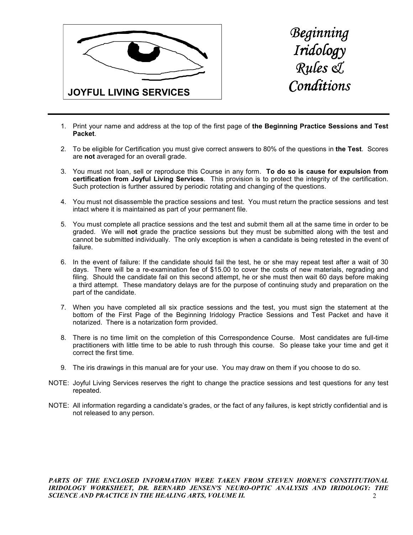



- 1. Print your name and address at the top of the first page of **the Beginning Practice Sessions and Test Packet**.
- 2. To be eligible for Certification you must give correct answers to 80% of the questions in **the Test**. Scores are **not** averaged for an overall grade.
- 3. You must not loan, sell or reproduce this Course in any form. **To do so is cause for expulsion from certification from Joyful Living Services**. This provision is to protect the integrity of the certification. Such protection is further assured by periodic rotating and changing of the questions.
- 4. You must not disassemble the practice sessions and test. You must return the practice sessions and test intact where it is maintained as part of your permanent file.
- 5. You must complete all practice sessions and the test and submit them all at the same time in order to be graded. We will **not** grade the practice sessions but they must be submitted along with the test and cannot be submitted individually. The only exception is when a candidate is being retested in the event of failure.
- 6. In the event of failure: If the candidate should fail the test, he or she may repeat test after a wait of 30 days. There will be a re-examination fee of \$15.00 to cover the costs of new materials, regrading and filing. Should the candidate fail on this second attempt, he or she must then wait 60 days before making a third attempt. These mandatory delays are for the purpose of continuing study and preparation on the part of the candidate.
- 7. When you have completed all six practice sessions and the test, you must sign the statement at the bottom of the First Page of the Beginning Iridology Practice Sessions and Test Packet and have it notarized. There is a notarization form provided.
- 8. There is no time limit on the completion of this Correspondence Course. Most candidates are full-time practitioners with little time to be able to rush through this course. So please take your time and get it correct the first time.
- 9. The iris drawings in this manual are for your use. You may draw on them if you choose to do so.
- NOTE: Joyful Living Services reserves the right to change the practice sessions and test questions for any test repeated.
- NOTE: All information regarding a candidate's grades, or the fact of any failures, is kept strictly confidential and is not released to any person.

 $\mathcal{L}$ PARTS OF THE ENCLOSED INFORMATION WERE TAKEN FROM STEVEN HORNE'S CONSTITUTIONAL *IRIDOLOGY WORKSHEET, DR. BERNARD JENSEN'S NEURO-OPTIC ANALYSIS AND IRIDOLOGY: THE SCIENCE AND PRACTICE IN THE HEALING ARTS, VOLUME II.*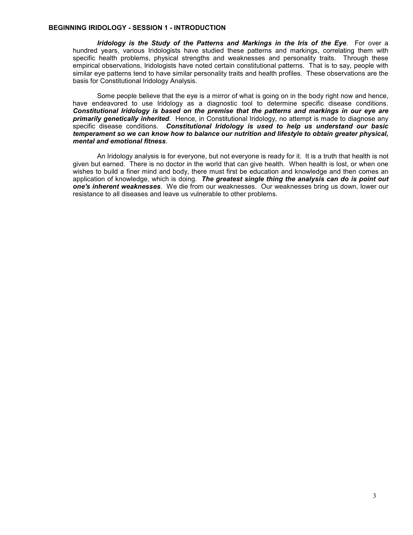#### **BEGINNING IRIDOLOGY - SESSION 1 - INTRODUCTION**

*Iridology is the Study of the Patterns and Markings in the Iris of the Eye*. For over a hundred years, various Iridologists have studied these patterns and markings, correlating them with specific health problems, physical strengths and weaknesses and personality traits. Through these empirical observations, Iridologists have noted certain constitutional patterns. That is to say, people with similar eye patterns tend to have similar personality traits and health profiles. These observations are the basis for Constitutional Iridology Analysis.

 Some people believe that the eye is a mirror of what is going on in the body right now and hence, have endeavored to use Iridology as a diagnostic tool to determine specific disease conditions. *Constitutional Iridology is based on the premise that the patterns and markings in our eye are primarily genetically inherited*. Hence, in Constitutional Iridology, no attempt is made to diagnose any specific disease conditions. *Constitutional Iridology is used to help us understand our basic temperament so we can know how to balance our nutrition and lifestyle to obtain greater physical, mental and emotional fitness*.

 An Iridology analysis is for everyone, but not everyone is ready for it. It is a truth that health is not given but earned. There is no doctor in the world that can give health. When health is lost, or when one wishes to build a finer mind and body, there must first be education and knowledge and then comes an application of knowledge, which is doing. *The greatest single thing the analysis can do is point out one's inherent weaknesses*. We die from our weaknesses. Our weaknesses bring us down, lower our resistance to all diseases and leave us vulnerable to other problems.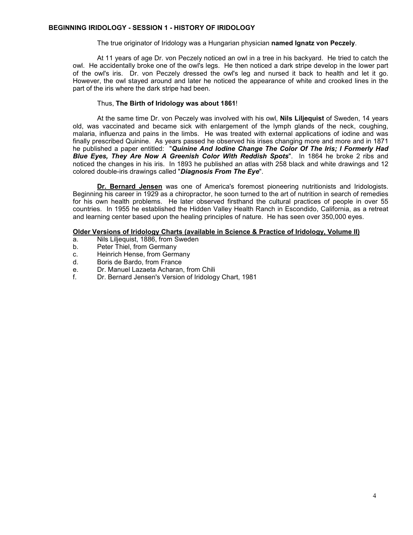#### The true originator of Iridology was a Hungarian physician **named Ignatz von Peczely**.

 At 11 years of age Dr. von Peczely noticed an owl in a tree in his backyard. He tried to catch the owl. He accidentally broke one of the owl's legs. He then noticed a dark stripe develop in the lower part of the owl's iris. Dr. von Peczely dressed the owl's leg and nursed it back to health and let it go. However, the owl stayed around and later he noticed the appearance of white and crooked lines in the part of the iris where the dark stripe had been.

## Thus, **The Birth of Iridology was about 1861**!

 At the same time Dr. von Peczely was involved with his owl, **Nils Liljequist** of Sweden, 14 years old, was vaccinated and became sick with enlargement of the lymph glands of the neck, coughing, malaria, influenza and pains in the limbs. He was treated with external applications of iodine and was finally prescribed Quinine. As years passed he observed his irises changing more and more and in 1871 he published a paper entitled: "*Quinine And Iodine Change The Color Of The Iris; I Formerly Had Blue Eyes, They Are Now A Greenish Color With Reddish Spots*". In 1864 he broke 2 ribs and noticed the changes in his iris. In 1893 he published an atlas with 258 black and white drawings and 12 colored double-iris drawings called "*Diagnosis From The Eye*".

**Dr. Bernard Jensen** was one of America's foremost pioneering nutritionists and Iridologists. Beginning his career in 1929 as a chiropractor, he soon turned to the art of nutrition in search of remedies for his own health problems. He later observed firsthand the cultural practices of people in over 55 countries. In 1955 he established the Hidden Valley Health Ranch in Escondido, California, as a retreat and learning center based upon the healing principles of nature. He has seen over 350,000 eyes.

#### **Older Versions of Iridology Charts (available in Science & Practice of Iridology, Volume II)**

- a. Nils Liljequist, 1886, from Sweden
- b. Peter Thiel, from Germany
- c. Heinrich Hense, from Germany
- d. Boris de Bardo, from France
- e. Dr. Manuel Lazaeta Acharan, from Chili
- f. Dr. Bernard Jensen's Version of Iridology Chart, 1981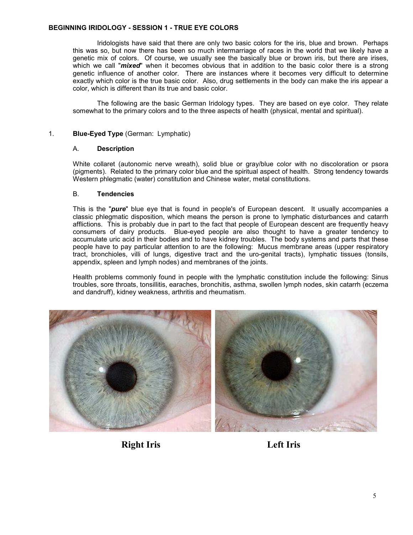## **BEGINNING IRIDOLOGY - SESSION 1 - TRUE EYE COLORS**

 Iridologists have said that there are only two basic colors for the iris, blue and brown. Perhaps this was so, but now there has been so much intermarriage of races in the world that we likely have a genetic mix of colors. Of course, we usually see the basically blue or brown iris, but there are irises, which we call "*mixed*" when it becomes obvious that in addition to the basic color there is a strong genetic influence of another color. There are instances where it becomes very difficult to determine exactly which color is the true basic color. Also, drug settlements in the body can make the iris appear a color, which is different than its true and basic color.

 The following are the basic German Iridology types. They are based on eye color. They relate somewhat to the primary colors and to the three aspects of health (physical, mental and spiritual).

## 1. **Blue-Eyed Type** (German: Lymphatic)

## A. **Description**

White collaret (autonomic nerve wreath), solid blue or gray/blue color with no discoloration or psora (pigments). Related to the primary color blue and the spiritual aspect of health. Strong tendency towards Western phlegmatic (water) constitution and Chinese water, metal constitutions.

## B. **Tendencies**

This is the "*pure*" blue eye that is found in people's of European descent. It usually accompanies a classic phlegmatic disposition, which means the person is prone to lymphatic disturbances and catarrh afflictions. This is probably due in part to the fact that people of European descent are frequently heavy consumers of dairy products. Blue-eyed people are also thought to have a greater tendency to accumulate uric acid in their bodies and to have kidney troubles. The body systems and parts that these people have to pay particular attention to are the following: Mucus membrane areas (upper respiratory tract, bronchioles, villi of lungs, digestive tract and the uro-genital tracts), lymphatic tissues (tonsils, appendix, spleen and lymph nodes) and membranes of the joints.

Health problems commonly found in people with the lymphatic constitution include the following: Sinus troubles, sore throats, tonsillitis, earaches, bronchitis, asthma, swollen lymph nodes, skin catarrh (eczema and dandruff), kidney weakness, arthritis and rheumatism.





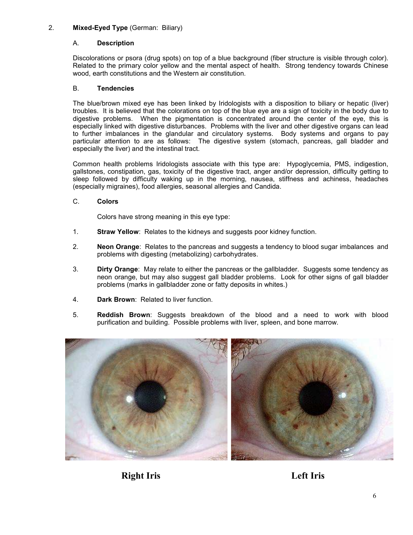# 2. **Mixed-Eyed Type** (German: Biliary)

# A. **Description**

Discolorations or psora (drug spots) on top of a blue background (fiber structure is visible through color). Related to the primary color yellow and the mental aspect of health. Strong tendency towards Chinese wood, earth constitutions and the Western air constitution.

# B. **Tendencies**

The blue/brown mixed eye has been linked by Iridologists with a disposition to biliary or hepatic (liver) troubles. It is believed that the colorations on top of the blue eye are a sign of toxicity in the body due to digestive problems. When the pigmentation is concentrated around the center of the eye, this is especially linked with digestive disturbances. Problems with the liver and other digestive organs can lead to further imbalances in the glandular and circulatory systems. Body systems and organs to pay particular attention to are as follows: The digestive system (stomach, pancreas, gall bladder and especially the liver) and the intestinal tract.

Common health problems Iridologists associate with this type are: Hypoglycemia, PMS, indigestion, gallstones, constipation, gas, toxicity of the digestive tract, anger and/or depression, difficulty getting to sleep followed by difficulty waking up in the morning, nausea, stiffness and achiness, headaches (especially migraines), food allergies, seasonal allergies and Candida.

# C. **Colors**

Colors have strong meaning in this eye type:

- 1. **Straw Yellow**: Relates to the kidneys and suggests poor kidney function.
- 2. **Neon Orange**: Relates to the pancreas and suggests a tendency to blood sugar imbalances and problems with digesting (metabolizing) carbohydrates.
- 3. **Dirty Orange**: May relate to either the pancreas or the gallbladder. Suggests some tendency as neon orange, but may also suggest gall bladder problems. Look for other signs of gall bladder problems (marks in gallbladder zone or fatty deposits in whites.)
- 4. **Dark Brown**: Related to liver function.
- 5. **Reddish Brown**: Suggests breakdown of the blood and a need to work with blood purification and building. Possible problems with liver, spleen, and bone marrow.



**Right Iris Left Iris**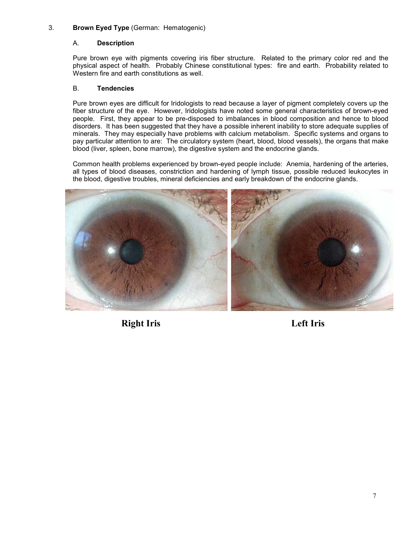# 3. **Brown Eyed Type** (German: Hematogenic)

# A. **Description**

Pure brown eye with pigments covering iris fiber structure. Related to the primary color red and the physical aspect of health. Probably Chinese constitutional types: fire and earth. Probability related to Western fire and earth constitutions as well.

# B. **Tendencies**

Pure brown eyes are difficult for Iridologists to read because a layer of pigment completely covers up the fiber structure of the eye. However, Iridologists have noted some general characteristics of brown-eyed people. First, they appear to be pre-disposed to imbalances in blood composition and hence to blood disorders. It has been suggested that they have a possible inherent inability to store adequate supplies of minerals. They may especially have problems with calcium metabolism. Specific systems and organs to pay particular attention to are: The circulatory system (heart, blood, blood vessels), the organs that make blood (liver, spleen, bone marrow), the digestive system and the endocrine glands.

Common health problems experienced by brown-eyed people include: Anemia, hardening of the arteries, all types of blood diseases, constriction and hardening of lymph tissue, possible reduced leukocytes in the blood, digestive troubles, mineral deficiencies and early breakdown of the endocrine glands.



**Right Iris Left Iris**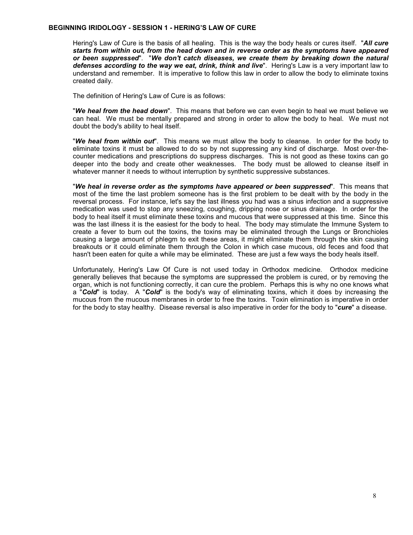#### **BEGINNING IRIDOLOGY - SESSION 1 - HERING'S LAW OF CURE**

Hering's Law of Cure is the basis of all healing. This is the way the body heals or cures itself. "*All cure starts from within out, from the head down and in reverse order as the symptoms have appeared or been suppressed*". "*We don't catch diseases, we create them by breaking down the natural defenses according to the way we eat, drink, think and live*". Hering's Law is a very important law to understand and remember. It is imperative to follow this law in order to allow the body to eliminate toxins created daily.

The definition of Hering's Law of Cure is as follows:

"*We heal from the head down*". This means that before we can even begin to heal we must believe we can heal. We must be mentally prepared and strong in order to allow the body to heal. We must not doubt the body's ability to heal itself.

"*We heal from within out*". This means we must allow the body to cleanse. In order for the body to eliminate toxins it must be allowed to do so by not suppressing any kind of discharge. Most over-thecounter medications and prescriptions do suppress discharges. This is not good as these toxins can go deeper into the body and create other weaknesses. The body must be allowed to cleanse itself in whatever manner it needs to without interruption by synthetic suppressive substances.

"*We heal in reverse order as the symptoms have appeared or been suppressed*". This means that most of the time the last problem someone has is the first problem to be dealt with by the body in the reversal process. For instance, let's say the last illness you had was a sinus infection and a suppressive medication was used to stop any sneezing, coughing, dripping nose or sinus drainage. In order for the body to heal itself it must eliminate these toxins and mucous that were suppressed at this time. Since this was the last illness it is the easiest for the body to heal. The body may stimulate the Immune System to create a fever to burn out the toxins, the toxins may be eliminated through the Lungs or Bronchioles causing a large amount of phlegm to exit these areas, it might eliminate them through the skin causing breakouts or it could eliminate them through the Colon in which case mucous, old feces and food that hasn't been eaten for quite a while may be eliminated. These are just a few ways the body heals itself.

Unfortunately, Hering's Law Of Cure is not used today in Orthodox medicine. Orthodox medicine generally believes that because the symptoms are suppressed the problem is cured, or by removing the organ, which is not functioning correctly, it can cure the problem. Perhaps this is why no one knows what a "*Cold*" is today. A "*Cold*" is the body's way of eliminating toxins, which it does by increasing the mucous from the mucous membranes in order to free the toxins. Toxin elimination is imperative in order for the body to stay healthy. Disease reversal is also imperative in order for the body to "*cure*" a disease.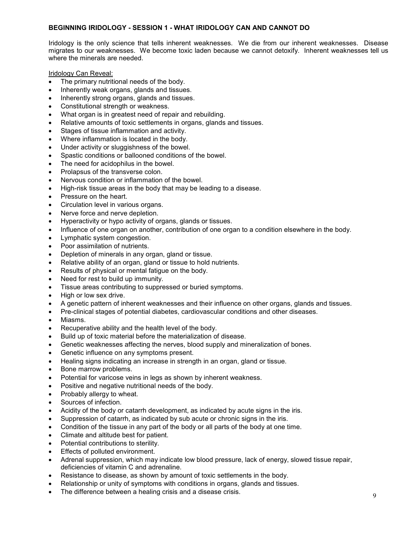## **BEGINNING IRIDOLOGY - SESSION 1 - WHAT IRIDOLOGY CAN AND CANNOT DO**

Iridology is the only science that tells inherent weaknesses. We die from our inherent weaknesses. Disease migrates to our weaknesses. We become toxic laden because we cannot detoxify. Inherent weaknesses tell us where the minerals are needed.

Iridology Can Reveal:

- The primary nutritional needs of the body.
- Inherently weak organs, glands and tissues.
- Inherently strong organs, glands and tissues.
- Constitutional strength or weakness.
- What organ is in greatest need of repair and rebuilding.
- Relative amounts of toxic settlements in organs, glands and tissues.
- Stages of tissue inflammation and activity.
- Where inflammation is located in the body.
- Under activity or sluggishness of the bowel.
- Spastic conditions or ballooned conditions of the bowel.
- The need for acidophilus in the bowel.
- Prolapsus of the transverse colon.
- Nervous condition or inflammation of the bowel.
- High-risk tissue areas in the body that may be leading to a disease.
- Pressure on the heart.
- Circulation level in various organs.
- Nerve force and nerve depletion.
- Hyperactivity or hypo activity of organs, glands or tissues.
- Influence of one organ on another, contribution of one organ to a condition elsewhere in the body.
- Lymphatic system congestion.
- Poor assimilation of nutrients.
- Depletion of minerals in any organ, gland or tissue.
- Relative ability of an organ, gland or tissue to hold nutrients.
- Results of physical or mental fatigue on the body.
- Need for rest to build up immunity.
- Tissue areas contributing to suppressed or buried symptoms.
- High or low sex drive.
- A genetic pattern of inherent weaknesses and their influence on other organs, glands and tissues.
- Pre-clinical stages of potential diabetes, cardiovascular conditions and other diseases.
- Miasms.
- Recuperative ability and the health level of the body.
- Build up of toxic material before the materialization of disease.
- Genetic weaknesses affecting the nerves, blood supply and mineralization of bones.
- Genetic influence on any symptoms present.
- Healing signs indicating an increase in strength in an organ, gland or tissue.
- Bone marrow problems.
- Potential for varicose veins in legs as shown by inherent weakness.
- Positive and negative nutritional needs of the body.
- Probably allergy to wheat.
- Sources of infection.
- Acidity of the body or catarrh development, as indicated by acute signs in the iris.
- Suppression of catarrh, as indicated by sub acute or chronic signs in the iris.
- Condition of the tissue in any part of the body or all parts of the body at one time.
- Climate and altitude best for patient.
- Potential contributions to sterility.
- Effects of polluted environment.
- Adrenal suppression, which may indicate low blood pressure, lack of energy, slowed tissue repair, deficiencies of vitamin C and adrenaline.
- Resistance to disease, as shown by amount of toxic settlements in the body.
- Relationship or unity of symptoms with conditions in organs, glands and tissues.
- The difference between a healing crisis and a disease crisis.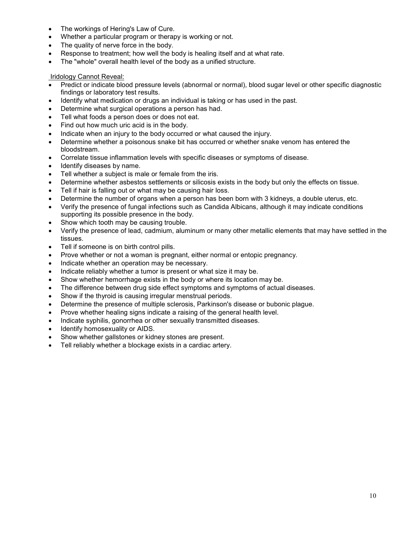- The workings of Hering's Law of Cure.
- Whether a particular program or therapy is working or not.
- The quality of nerve force in the body.
- Response to treatment; how well the body is healing itself and at what rate.
- The "whole" overall health level of the body as a unified structure.

# Iridology Cannot Reveal:

- Predict or indicate blood pressure levels (abnormal or normal), blood sugar level or other specific diagnostic findings or laboratory test results.
- Identify what medication or drugs an individual is taking or has used in the past.
- Determine what surgical operations a person has had.
- Tell what foods a person does or does not eat.
- Find out how much uric acid is in the body.
- Indicate when an injury to the body occurred or what caused the injury.
- Determine whether a poisonous snake bit has occurred or whether snake venom has entered the bloodstream.
- Correlate tissue inflammation levels with specific diseases or symptoms of disease.
- Identify diseases by name.
- Tell whether a subject is male or female from the iris.
- Determine whether asbestos settlements or silicosis exists in the body but only the effects on tissue.
- Tell if hair is falling out or what may be causing hair loss.
- Determine the number of organs when a person has been born with 3 kidneys, a double uterus, etc.
- Verify the presence of fungal infections such as Candida Albicans, although it may indicate conditions supporting its possible presence in the body.
- Show which tooth may be causing trouble.
- Verify the presence of lead, cadmium, aluminum or many other metallic elements that may have settled in the tissues.
- Tell if someone is on birth control pills.
- Prove whether or not a woman is pregnant, either normal or entopic pregnancy.
- Indicate whether an operation may be necessary.
- Indicate reliably whether a tumor is present or what size it may be.
- Show whether hemorrhage exists in the body or where its location may be.
- The difference between drug side effect symptoms and symptoms of actual diseases.
- Show if the thyroid is causing irregular menstrual periods.
- Determine the presence of multiple sclerosis, Parkinson's disease or bubonic plague.
- Prove whether healing signs indicate a raising of the general health level.
- Indicate syphilis, gonorrhea or other sexually transmitted diseases.
- Identify homosexuality or AIDS.
- Show whether gallstones or kidney stones are present.
- Tell reliably whether a blockage exists in a cardiac artery.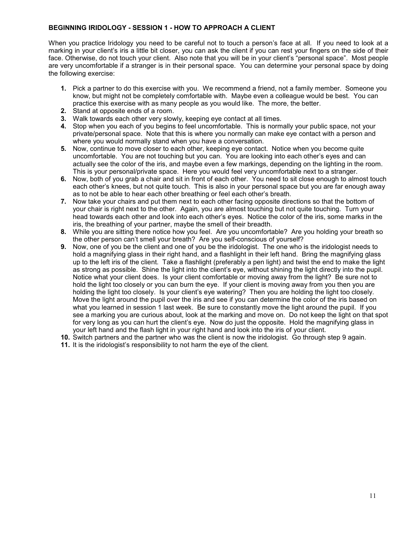## **BEGINNING IRIDOLOGY - SESSION 1 - HOW TO APPROACH A CLIENT**

When you practice Iridology you need to be careful not to touch a person's face at all. If you need to look at a marking in your client's iris a little bit closer, you can ask the client if you can rest your fingers on the side of their face. Otherwise, do not touch your client. Also note that you will be in your client's "personal space". Most people are very uncomfortable if a stranger is in their personal space. You can determine your personal space by doing the following exercise:

- **1.** Pick a partner to do this exercise with you. We recommend a friend, not a family member. Someone you know, but might not be completely comfortable with. Maybe even a colleague would be best. You can practice this exercise with as many people as you would like. The more, the better.
- **2.** Stand at opposite ends of a room.
- **3.** Walk towards each other very slowly, keeping eye contact at all times.
- **4.** Stop when you each of you begins to feel uncomfortable. This is normally your public space, not your private/personal space. Note that this is where you normally can make eye contact with a person and where you would normally stand when you have a conversation.
- **5.** Now, continue to move closer to each other, keeping eye contact. Notice when you become quite uncomfortable. You are not touching but you can. You are looking into each other's eyes and can actually see the color of the iris, and maybe even a few markings, depending on the lighting in the room. This is your personal/private space. Here you would feel very uncomfortable next to a stranger.
- **6.** Now, both of you grab a chair and sit in front of each other. You need to sit close enough to almost touch each other's knees, but not quite touch. This is also in your personal space but you are far enough away as to not be able to hear each other breathing or feel each other's breath.
- **7.** Now take your chairs and put them next to each other facing opposite directions so that the bottom of your chair is right next to the other. Again, you are almost touching but not quite touching. Turn your head towards each other and look into each other's eyes. Notice the color of the iris, some marks in the iris, the breathing of your partner, maybe the smell of their breadth.
- **8.** While you are sitting there notice how you feel. Are you uncomfortable? Are you holding your breath so the other person can't smell your breath? Are you self-conscious of yourself?
- **9.** Now, one of you be the client and one of you be the iridologist. The one who is the iridologist needs to hold a magnifying glass in their right hand, and a flashlight in their left hand. Bring the magnifying glass up to the left iris of the client. Take a flashlight (preferably a pen light) and twist the end to make the light as strong as possible. Shine the light into the client's eye, without shining the light directly into the pupil. Notice what your client does. Is your client comfortable or moving away from the light? Be sure not to hold the light too closely or you can burn the eye. If your client is moving away from you then you are holding the light too closely. Is your client's eye watering? Then you are holding the light too closely. Move the light around the pupil over the iris and see if you can determine the color of the iris based on what you learned in session 1 last week. Be sure to constantly move the light around the pupil. If you see a marking you are curious about, look at the marking and move on. Do not keep the light on that spot for very long as you can hurt the client's eye. Now do just the opposite. Hold the magnifying glass in your left hand and the flash light in your right hand and look into the iris of your client.
- **10.** Switch partners and the partner who was the client is now the iridologist. Go through step 9 again.
- **11.** It is the iridologist's responsibility to not harm the eye of the client.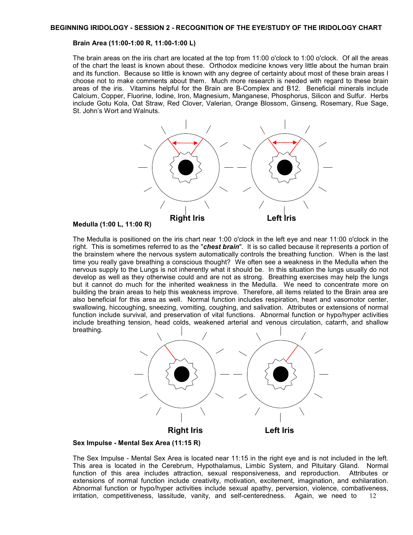#### **Brain Area (11:00-1:00 R, 11:00-1:00 L)**

The brain areas on the iris chart are located at the top from 11:00 o'clock to 1:00 o'clock. Of all the areas of the chart the least is known about these. Orthodox medicine knows very little about the human brain and its function. Because so little is known with any degree of certainty about most of these brain areas I choose not to make comments about them. Much more research is needed with regard to these brain areas of the iris. Vitamins helpful for the Brain are B-Complex and B12. Beneficial minerals include Calcium, Copper, Fluorine, Iodine, Iron, Magnesium, Manganese, Phosphorus, Silicon and Sulfur. Herbs include Gotu Kola, Oat Straw, Red Clover, Valerian, Orange Blossom, Ginseng, Rosemary, Rue Sage, St. John's Wort and Walnuts.



#### **Medulla (1:00 L, 11:00 R)**

The Medulla is positioned on the iris chart near 1:00 o'clock in the left eye and near 11:00 o'clock in the right. This is sometimes referred to as the "*chest brain*". It is so called because it represents a portion of the brainstem where the nervous system automatically controls the breathing function. When is the last time you really gave breathing a conscious thought? We often see a weakness in the Medulla when the nervous supply to the Lungs is not inherently what it should be. In this situation the lungs usually do not develop as well as they otherwise could and are not as strong. Breathing exercises may help the lungs but it cannot do much for the inherited weakness in the Medulla. We need to concentrate more on building the brain areas to help this weakness improve. Therefore, all items related to the Brain area are also beneficial for this area as well. Normal function includes respiration, heart and vasomotor center, swallowing, hiccoughing, sneezing, vomiting, coughing, and salivation. Attributes or extensions of normal function include survival, and preservation of vital functions. Abnormal function or hypo/hyper activities include breathing tension, head colds, weakened arterial and venous circulation, catarrh, and shallow breathing.



#### **Sex Impulse - Mental Sex Area (11:15 R)**

12 The Sex Impulse - Mental Sex Area is located near 11:15 in the right eye and is not included in the left. This area is located in the Cerebrum, Hypothalamus, Limbic System, and Pituitary Gland. Normal function of this area includes attraction, sexual responsiveness, and reproduction. Attributes or extensions of normal function include creativity, motivation, excitement, imagination, and exhilaration. Abnormal function or hypo/hyper activities include sexual apathy, perversion, violence, combativeness, irritation, competitiveness, lassitude, vanity, and self-centeredness. Again, we need to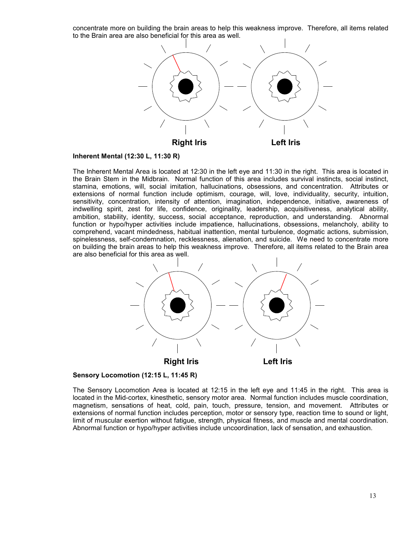concentrate more on building the brain areas to help this weakness improve. Therefore, all items related to the Brain area are also beneficial for this area as well.



#### **Inherent Mental (12:30 L, 11:30 R)**

The Inherent Mental Area is located at 12:30 in the left eye and 11:30 in the right. This area is located in the Brain Stem in the Midbrain. Normal function of this area includes survival instincts, social instinct, stamina, emotions, will, social imitation, hallucinations, obsessions, and concentration. Attributes or extensions of normal function include optimism, courage, will, love, individuality, security, intuition, sensitivity, concentration, intensity of attention, imagination, independence, initiative, awareness of indwelling spirit, zest for life, confidence, originality, leadership, acquisitiveness, analytical ability, ambition, stability, identity, success, social acceptance, reproduction, and understanding. Abnormal function or hypo/hyper activities include impatience, hallucinations, obsessions, melancholy, ability to comprehend, vacant mindedness, habitual inattention, mental turbulence, dogmatic actions, submission, spinelessness, self-condemnation, recklessness, alienation, and suicide. We need to concentrate more on building the brain areas to help this weakness improve. Therefore, all items related to the Brain area are also beneficial for this area as well.



## **Sensory Locomotion (12:15 L, 11:45 R)**

The Sensory Locomotion Area is located at 12:15 in the left eye and 11:45 in the right. This area is located in the Mid-cortex, kinesthetic, sensory motor area. Normal function includes muscle coordination, magnetism, sensations of heat, cold, pain, touch, pressure, tension, and movement. Attributes or extensions of normal function includes perception, motor or sensory type, reaction time to sound or light, limit of muscular exertion without fatigue, strength, physical fitness, and muscle and mental coordination. Abnormal function or hypo/hyper activities include uncoordination, lack of sensation, and exhaustion.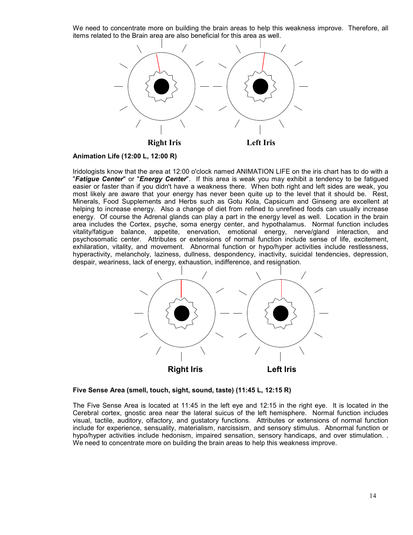We need to concentrate more on building the brain areas to help this weakness improve. Therefore, all items related to the Brain area are also beneficial for this area as well.



**Animation Life (12:00 L, 12:00 R)**

Iridologists know that the area at 12:00 o'clock named ANIMATION LIFE on the iris chart has to do with a "*Fatigue Center*" or "*Energy Center*". If this area is weak you may exhibit a tendency to be fatigued easier or faster than if you didn't have a weakness there. When both right and left sides are weak, you most likely are aware that your energy has never been quite up to the level that it should be. Rest, Minerals, Food Supplements and Herbs such as Gotu Kola, Capsicum and Ginseng are excellent at helping to increase energy. Also a change of diet from refined to unrefined foods can usually increase energy. Of course the Adrenal glands can play a part in the energy level as well. Location in the brain area includes the Cortex, psyche, soma energy center, and hypothalamus. Normal function includes vitality/fatigue balance, appetite, enervation, emotional energy, nerve/gland interaction, and psychosomatic center. Attributes or extensions of normal function include sense of life, excitement, exhilaration, vitality, and movement. Abnormal function or hypo/hyper activities include restlessness, hyperactivity, melancholy, laziness, dullness, despondency, inactivity, suicidal tendencies, depression, despair, weariness, lack of energy, exhaustion, indifference, and resignation.



**Five Sense Area (smell, touch, sight, sound, taste) (11:45 L, 12:15 R)**

The Five Sense Area is located at 11:45 in the left eye and 12:15 in the right eye. It is located in the Cerebral cortex, gnostic area near the lateral suicus of the left hemisphere. Normal function includes visual, tactile, auditory, olfactory, and gustatory functions. Attributes or extensions of normal function include for experience, sensuality, materialism, narcissism, and sensory stimulus. Abnormal function or hypo/hyper activities include hedonism, impaired sensation, sensory handicaps, and over stimulation. . We need to concentrate more on building the brain areas to help this weakness improve.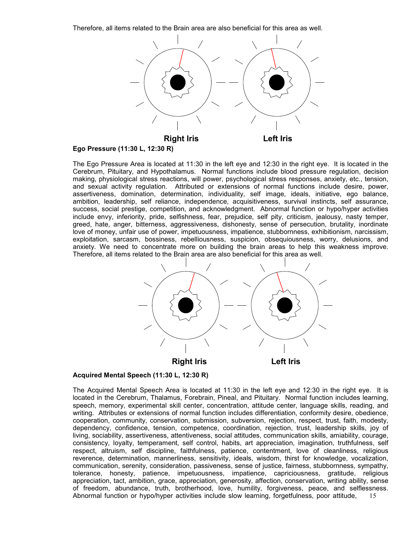Therefore, all items related to the Brain area are also beneficial for this area as well.



**Ego Pressure (11:30 L, 12:30 R)**

The Ego Pressure Area is located at 11:30 in the left eye and 12:30 in the right eye. It is located in the Cerebrum, Pituitary, and Hypothalamus. Normal functions include blood pressure regulation, decision making, physiological stress reactions, will power, psychological stress responses, anxiety, etc., tension, and sexual activity regulation. Attributed or extensions of normal functions include desire, power, assertiveness, domination, determination, individuality, self image, ideals, initiative, ego balance, ambition, leadership, self reliance, independence, acquisitiveness, survival instincts, self assurance, success, social prestige, competition, and acknowledgment. Abnormal function or hypo/hyper activities include envy, inferiority, pride, selfishness, fear, prejudice, self pity, criticism, jealousy, nasty temper, greed, hate, anger, bitterness, aggressiveness, dishonesty, sense of persecution, brutality, inordinate love of money, unfair use of power, impetuousness, impatience, stubbornness, exhibitionism, narcissism, exploitation, sarcasm, bossiness, rebelliousness, suspicion, obsequiousness, worry, delusions, and anxiety. We need to concentrate more on building the brain areas to help this weakness improve. Therefore, all items related to the Brain area are also beneficial for this area as well.



# **Acquired Mental Speech (11:30 L, 12:30 R)**

15 The Acquired Mental Speech Area is located at 11:30 in the left eye and 12:30 in the right eye. It is located in the Cerebrum, Thalamus, Forebrain, Pineal, and Pituitary. Normal function includes learning, speech, memory, experimental skill center, concentration, attitude center, language skills, reading, and writing. Attributes or extensions of normal function includes differentiation, conformity desire, obedience, cooperation, community, conservation, submission, subversion, rejection, respect, trust, faith, modesty, dependency, confidence, tension, competence, coordination, rejection, trust, leadership skills, joy of living, sociability, assertiveness, attentiveness, social attitudes, communication skills, amiability, courage, consistency, loyalty, temperament, self control, habits, art appreciation, imagination, truthfulness, self respect, altruism, self discipline, faithfulness, patience, contentment, love of cleanliness, religious reverence, determination, mannerliness, sensitivity, ideals, wisdom, thirst for knowledge, vocalization, communication, serenity, consideration, passiveness, sense of justice, fairness, stubbornness, sympathy, tolerance, honesty, patience, impetuousness, impatience, capriciousness, gratitude, religious appreciation, tact, ambition, grace, appreciation, generosity, affection, conservation, writing ability, sense of freedom, abundance, truth, brotherhood, love, humility, forgiveness, peace, and selflessness. Abnormal function or hypo/hyper activities include slow learning, forgetfulness, poor attitude,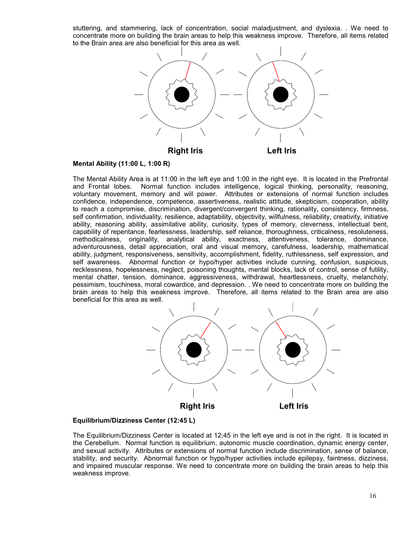stuttering, and stammering, lack of concentration, social maladjustment, and dyslexia. . We need to concentrate more on building the brain areas to help this weakness improve. Therefore, all items related to the Brain area are also beneficial for this area as well.



#### **Mental Ability (11:00 L, 1:00 R)**

The Mental Ability Area is at 11:00 in the left eye and 1:00 in the right eye. It is located in the Prefrontal and Frontal lobes. Normal function includes intelligence, logical thinking, personality, reasoning, voluntary movement, memory and will power. Attributes or extensions of normal function includes confidence, independence, competence, assertiveness, realistic attitude, skepticism, cooperation, ability to reach a compromise, discrimination, divergent/convergent thinking, rationality, consistency, firmness, self confirmation, individuality, resilience, adaptability, objectivity, willfulness, reliability, creativity, initiative ability, reasoning ability, assimilative ability, curiosity, types of memory, cleverness, intellectual bent, capability of repentance, fearlessness, leadership, self reliance, thoroughness, criticalness, resoluteness, methodicalness, originality, analytical ability, exactness, attentiveness, tolerance, dominance, adventurousness, detail appreciation, oral and visual memory, carefulness, leadership, mathematical ability, judgment, responsiveness, sensitivity, accomplishment, fidelity, ruthlessness, self expression, and self awareness. Abnormal function or hypo/hyper activities include cunning, confusion, suspicious, recklessness, hopelessness, neglect, poisoning thoughts, mental blocks, lack of control, sense of futility, mental chatter, tension, dominance, aggressiveness, withdrawal, heartlessness, cruelty, melancholy, pessimism, touchiness, moral cowardice, and depression. . We need to concentrate more on building the brain areas to help this weakness improve. Therefore, all items related to the Brain area are also beneficial for this area as well.



## **Equilibrium/Dizziness Center (12:45 L)**

The Equilibrium/Dizziness Center is located at 12:45 in the left eye and is not in the right. It is located in the Cerebellum. Normal function is equilibrium, autonomic muscle coordination, dynamic energy center, and sexual activity. Attributes or extensions of normal function include discrimination, sense of balance, stability, and security. Abnormal function or hypo/hyper activities include epilepsy, faintness, dizziness, and impaired muscular response. We need to concentrate more on building the brain areas to help this weakness improve.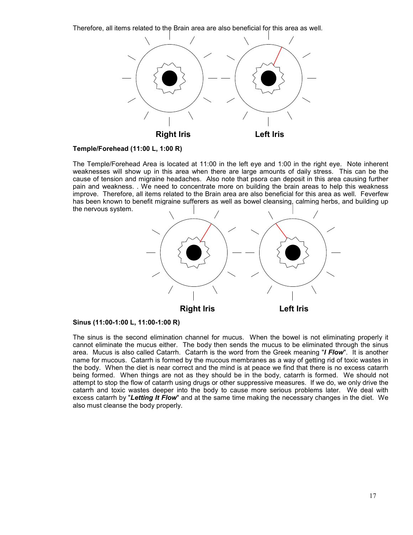Therefore, all items related to the Brain area are also beneficial for this area as well.



## **Temple/Forehead (11:00 L, 1:00 R)**

The Temple/Forehead Area is located at 11:00 in the left eye and 1:00 in the right eye. Note inherent weaknesses will show up in this area when there are large amounts of daily stress. This can be the cause of tension and migraine headaches. Also note that psora can deposit in this area causing further pain and weakness. . We need to concentrate more on building the brain areas to help this weakness improve. Therefore, all items related to the Brain area are also beneficial for this area as well. Feverfew has been known to benefit migraine sufferers as well as bowel cleansing, calming herbs, and building up the nervous system.



**Sinus (11:00-1:00 L, 11:00-1:00 R)**

The sinus is the second elimination channel for mucus. When the bowel is not eliminating properly it cannot eliminate the mucus either. The body then sends the mucus to be eliminated through the sinus area. Mucus is also called Catarrh. Catarrh is the word from the Greek meaning "*I Flow*". It is another name for mucous. Catarrh is formed by the mucous membranes as a way of getting rid of toxic wastes in the body. When the diet is near correct and the mind is at peace we find that there is no excess catarrh being formed. When things are not as they should be in the body, catarrh is formed. We should not attempt to stop the flow of catarrh using drugs or other suppressive measures. If we do, we only drive the catarrh and toxic wastes deeper into the body to cause more serious problems later. We deal with excess catarrh by "*Letting It Flow*" and at the same time making the necessary changes in the diet. We also must cleanse the body properly.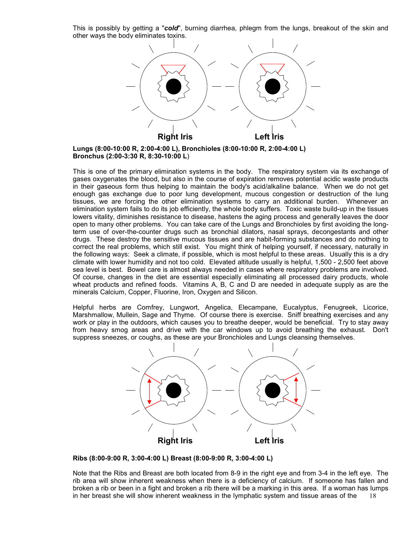This is possibly by getting a "*cold*", burning diarrhea, phlegm from the lungs, breakout of the skin and other ways the body eliminates toxins.



**Lungs (8:00-10:00 R, 2:00-4:00 L), Bronchioles (8:00-10:00 R, 2:00-4:00 L) Bronchus (2:00-3:30 R, 8:30-10:00 L**)

This is one of the primary elimination systems in the body. The respiratory system via its exchange of gases oxygenates the blood, but also in the course of expiration removes potential acidic waste products in their gaseous form thus helping to maintain the body's acid/alkaline balance. When we do not get enough gas exchange due to poor lung development, mucous congestion or destruction of the lung tissues, we are forcing the other elimination systems to carry an additional burden. Whenever an elimination system fails to do its job efficiently, the whole body suffers. Toxic waste build-up in the tissues lowers vitality, diminishes resistance to disease, hastens the aging process and generally leaves the door open to many other problems. You can take care of the Lungs and Bronchioles by first avoiding the longterm use of over-the-counter drugs such as bronchial dilators, nasal sprays, decongestants and other drugs. These destroy the sensitive mucous tissues and are habit-forming substances and do nothing to correct the real problems, which still exist. You might think of helping yourself, if necessary, naturally in the following ways: Seek a climate, if possible, which is most helpful to these areas. Usually this is a dry climate with lower humidity and not too cold. Elevated altitude usually is helpful, 1,500 - 2,500 feet above sea level is best. Bowel care is almost always needed in cases where respiratory problems are involved. Of course, changes in the diet are essential especially eliminating all processed dairy products, whole wheat products and refined foods. Vitamins A, B, C and D are needed in adequate supply as are the minerals Calcium, Copper, Fluorine, Iron, Oxygen and Silicon.

Helpful herbs are Comfrey, Lungwort, Angelica, Elecampane, Eucalyptus, Fenugreek, Licorice, Marshmallow, Mullein, Sage and Thyme. Of course there is exercise. Sniff breathing exercises and any work or play in the outdoors, which causes you to breathe deeper, would be beneficial. Try to stay away from heavy smog areas and drive with the car windows up to avoid breathing the exhaust. Don't suppress sneezes, or coughs, as these are your Bronchioles and Lungs cleansing themselves.



**Ribs (8:00-9:00 R, 3:00-4:00 L) Breast (8:00-9:00 R, 3:00-4:00 L)**

18 Note that the Ribs and Breast are both located from 8-9 in the right eye and from 3-4 in the left eye. The rib area will show inherent weakness when there is a deficiency of calcium. If someone has fallen and broken a rib or been in a fight and broken a rib there will be a marking in this area. If a woman has lumps in her breast she will show inherent weakness in the lymphatic system and tissue areas of the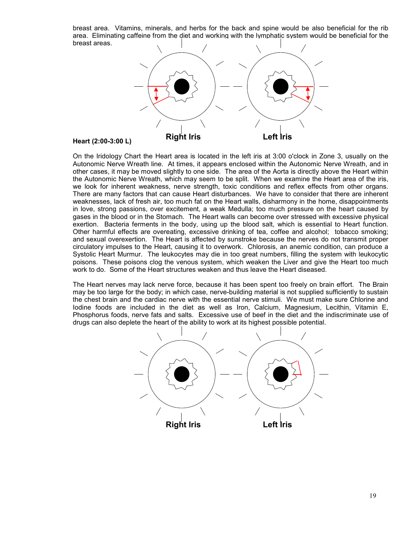breast area. Vitamins, minerals, and herbs for the back and spine would be also beneficial for the rib area. Eliminating caffeine from the diet and working with the lymphatic system would be beneficial for the breast areas.



#### **Heart (2:00-3:00 L)**

On the Iridology Chart the Heart area is located in the left iris at 3:00 o'clock in Zone 3, usually on the Autonomic Nerve Wreath line. At times, it appears enclosed within the Autonomic Nerve Wreath, and in other cases, it may be moved slightly to one side. The area of the Aorta is directly above the Heart within the Autonomic Nerve Wreath, which may seem to be split. When we examine the Heart area of the iris, we look for inherent weakness, nerve strength, toxic conditions and reflex effects from other organs. There are many factors that can cause Heart disturbances. We have to consider that there are inherent weaknesses, lack of fresh air, too much fat on the Heart walls, disharmony in the home, disappointments in love, strong passions, over excitement, a weak Medulla; too much pressure on the heart caused by gases in the blood or in the Stomach. The Heart walls can become over stressed with excessive physical exertion. Bacteria ferments in the body, using up the blood salt, which is essential to Heart function. Other harmful effects are overeating, excessive drinking of tea, coffee and alcohol; tobacco smoking; and sexual overexertion. The Heart is affected by sunstroke because the nerves do not transmit proper circulatory impulses to the Heart, causing it to overwork. Chlorosis, an anemic condition, can produce a Systolic Heart Murmur. The leukocytes may die in too great numbers, filling the system with leukocytic poisons. These poisons clog the venous system, which weaken the Liver and give the Heart too much work to do. Some of the Heart structures weaken and thus leave the Heart diseased.

The Heart nerves may lack nerve force, because it has been spent too freely on brain effort. The Brain may be too large for the body; in which case, nerve-building material is not supplied sufficiently to sustain the chest brain and the cardiac nerve with the essential nerve stimuli. We must make sure Chlorine and Iodine foods are included in the diet as well as Iron, Calcium, Magnesium, Lecithin, Vitamin E, Phosphorus foods, nerve fats and salts. Excessive use of beef in the diet and the indiscriminate use of drugs can also deplete the heart of the ability to work at its highest possible potential.

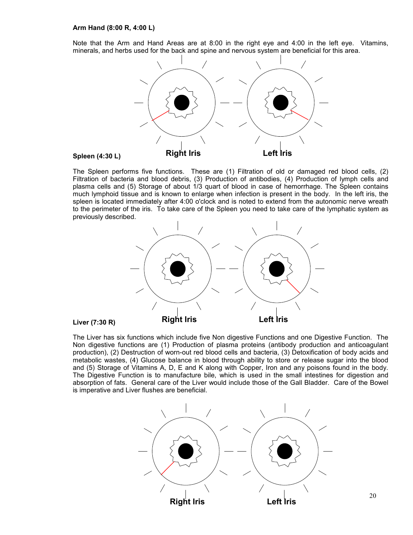#### **Arm Hand (8:00 R, 4:00 L)**

Note that the Arm and Hand Areas are at 8:00 in the right eye and 4:00 in the left eye. Vitamins, minerals, and herbs used for the back and spine and nervous system are beneficial for this area.



#### **Spleen (4:30 L)**

The Spleen performs five functions. These are (1) Filtration of old or damaged red blood cells, (2) Filtration of bacteria and blood debris, (3) Production of antibodies, (4) Production of lymph cells and plasma cells and (5) Storage of about 1/3 quart of blood in case of hemorrhage. The Spleen contains much lymphoid tissue and is known to enlarge when infection is present in the body. In the left iris, the spleen is located immediately after 4:00 o'clock and is noted to extend from the autonomic nerve wreath to the perimeter of the iris. To take care of the Spleen you need to take care of the lymphatic system as previously described.



## **Liver (7:30 R)**

The Liver has six functions which include five Non digestive Functions and one Digestive Function. The Non digestive functions are (1) Production of plasma proteins (antibody production and anticoagulant production), (2) Destruction of worn-out red blood cells and bacteria, (3) Detoxification of body acids and metabolic wastes, (4) Glucose balance in blood through ability to store or release sugar into the blood and (5) Storage of Vitamins A, D, E and K along with Copper, Iron and any poisons found in the body. The Digestive Function is to manufacture bile, which is used in the small intestines for digestion and absorption of fats. General care of the Liver would include those of the Gall Bladder. Care of the Bowel is imperative and Liver flushes are beneficial.



20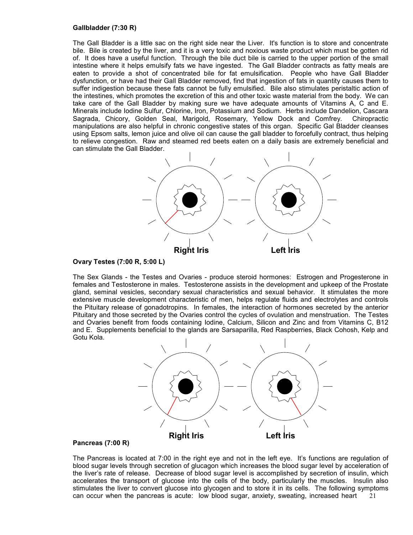#### **Gallbladder (7:30 R)**

The Gall Bladder is a little sac on the right side near the Liver. It's function is to store and concentrate bile. Bile is created by the liver, and it is a very toxic and noxious waste product which must be gotten rid of. It does have a useful function. Through the bile duct bile is carried to the upper portion of the small intestine where it helps emulsify fats we have ingested. The Gall Bladder contracts as fatty meals are eaten to provide a shot of concentrated bile for fat emulsification. People who have Gall Bladder dysfunction, or have had their Gall Bladder removed, find that ingestion of fats in quantity causes them to suffer indigestion because these fats cannot be fully emulsified. Bile also stimulates peristaltic action of the intestines, which promotes the excretion of this and other toxic waste material from the body. We can take care of the Gall Bladder by making sure we have adequate amounts of Vitamins A, C and E. Minerals include Iodine Sulfur, Chlorine, Iron, Potassium and Sodium. Herbs include Dandelion, Cascara Sagrada, Chicory, Golden Seal, Marigold, Rosemary, Yellow Dock and Comfrey. Chiropractic manipulations are also helpful in chronic congestive states of this organ. Specific Gal Bladder cleanses using Epsom salts, lemon juice and olive oil can cause the gall bladder to forcefully contract, thus helping to relieve congestion. Raw and steamed red beets eaten on a daily basis are extremely beneficial and can stimulate the Gall Bladder.



#### **Ovary Testes (7:00 R, 5:00 L)**

The Sex Glands - the Testes and Ovaries - produce steroid hormones: Estrogen and Progesterone in females and Testosterone in males. Testosterone assists in the development and upkeep of the Prostate gland, seminal vesicles, secondary sexual characteristics and sexual behavior. It stimulates the more extensive muscle development characteristic of men, helps regulate fluids and electrolytes and controls the Pituitary release of gonadotropins. In females, the interaction of hormones secreted by the anterior Pituitary and those secreted by the Ovaries control the cycles of ovulation and menstruation. The Testes and Ovaries benefit from foods containing Iodine, Calcium, Silicon and Zinc and from Vitamins C, B12 and E. Supplements beneficial to the glands are Sarsaparilla, Red Raspberries, Black Cohosh, Kelp and Gotu Kola.



## **Pancreas (7:00 R)**

21 The Pancreas is located at 7:00 in the right eye and not in the left eye. It's functions are regulation of blood sugar levels through secretion of glucagon which increases the blood sugar level by acceleration of the liver's rate of release. Decrease of blood sugar level is accomplished by secretion of insulin, which accelerates the transport of glucose into the cells of the body, particularly the muscles. Insulin also stimulates the liver to convert glucose into glycogen and to store it in its cells. The following symptoms can occur when the pancreas is acute: low blood sugar, anxiety, sweating, increased heart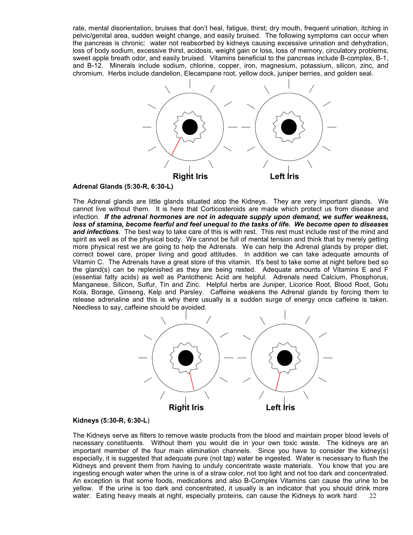rate, mental disorientation, bruises that don't heal, fatigue, thirst; dry mouth, frequent urination, itching in pelvic/genital area, sudden weight change, and easily bruised. The following symptoms can occur when the pancreas is chronic: water not reabsorbed by kidneys causing excessive urination and dehydration, loss of body sodium, excessive thirst, acidosis, weight gain or loss, loss of memory, circulatory problems, sweet apple breath odor, and easily bruised. Vitamins beneficial to the pancreas include B-complex, B-1, and B-12. Minerals include sodium, chlorine, copper, iron, magnesium, potassium, silicon, zinc, and chromium. Herbs include dandelion, Elecampane root, yellow dock, juniper berries, and golden seal.



## **Adrenal Glands (5:30-R, 6:30-L)**

The Adrenal glands are little glands situated atop the Kidneys. They are very important glands. We cannot live without them. It is here that Corticosteroids are made which protect us from disease and infection. *If the adrenal hormones are not in adequate supply upon demand, we suffer weakness, loss of stamina, become fearful and feel unequal to the tasks of life. We become open to diseases and infections*. The best way to take care of this is with rest. This rest must include rest of the mind and spirit as well as of the physical body. We cannot be full of mental tension and think that by merely getting more physical rest we are going to help the Adrenals. We can help the Adrenal glands by proper diet, correct bowel care, proper living and good attitudes. In addition we can take adequate amounts of Vitamin C. The Adrenals have a great store of this vitamin. It's best to take some at night before bed so the gland(s) can be replenished as they are being rested. Adequate amounts of Vitamins E and F (essential fatty acids) as well as Pantothenic Acid are helpful. Adrenals need Calcium, Phosphorus, Manganese, Silicon, Sulfur, Tin and Zinc. Helpful herbs are Juniper, Licorice Root, Blood Root, Gotu Kola, Borage, Ginseng, Kelp and Parsley. Caffeine weakens the Adrenal glands by forcing them to release adrenaline and this is why there usually is a sudden surge of energy once caffeine is taken. Needless to say, caffeine should be avoided.



#### **Kidneys (5:30-R, 6:30-L**)

22 The Kidneys serve as filters to remove waste products from the blood and maintain proper blood levels of necessary constituents. Without them you would die in your own toxic waste. The kidneys are an important member of the four main elimination channels. Since you have to consider the kidney(s) especially, it is suggested that adequate pure (not tap) water be ingested. Water is necessary to flush the Kidneys and prevent them from having to unduly concentrate waste materials. You know that you are ingesting enough water when the urine is of a straw color, not too light and not too dark and concentrated. An exception is that some foods, medications and also B-Complex Vitamins can cause the urine to be yellow. If the urine is too dark and concentrated, it usually is an indicator that you should drink more water. Eating heavy meals at night, especially proteins, can cause the Kidneys to work hard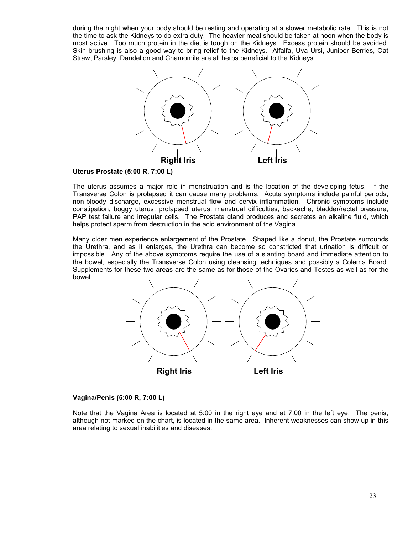during the night when your body should be resting and operating at a slower metabolic rate. This is not the time to ask the Kidneys to do extra duty. The heavier meal should be taken at noon when the body is most active. Too much protein in the diet is tough on the Kidneys. Excess protein should be avoided. Skin brushing is also a good way to bring relief to the Kidneys. Alfalfa, Uva Ursi, Juniper Berries, Oat Straw, Parsley, Dandelion and Chamomile are all herbs beneficial to the Kidneys.



## **Uterus Prostate (5:00 R, 7:00 L)**

The uterus assumes a major role in menstruation and is the location of the developing fetus. If the Transverse Colon is prolapsed it can cause many problems. Acute symptoms include painful periods, non-bloody discharge, excessive menstrual flow and cervix inflammation. Chronic symptoms include constipation, boggy uterus, prolapsed uterus, menstrual difficulties, backache, bladder/rectal pressure, PAP test failure and irregular cells. The Prostate gland produces and secretes an alkaline fluid, which helps protect sperm from destruction in the acid environment of the Vagina.

Many older men experience enlargement of the Prostate. Shaped like a donut, the Prostate surrounds the Urethra, and as it enlarges, the Urethra can become so constricted that urination is difficult or impossible. Any of the above symptoms require the use of a slanting board and immediate attention to the bowel, especially the Transverse Colon using cleansing techniques and possibly a Colema Board. Supplements for these two areas are the same as for those of the Ovaries and Testes as well as for the bowel.



## **Vagina/Penis (5:00 R, 7:00 L)**

Note that the Vagina Area is located at 5:00 in the right eye and at 7:00 in the left eye. The penis, although not marked on the chart, is located in the same area. Inherent weaknesses can show up in this area relating to sexual inabilities and diseases.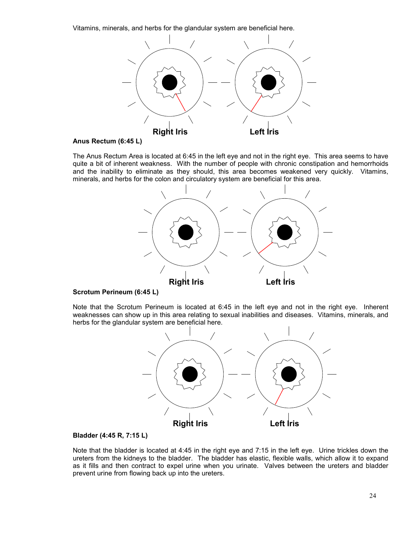Vitamins, minerals, and herbs for the glandular system are beneficial here.



#### **Anus Rectum (6:45 L)**

The Anus Rectum Area is located at 6:45 in the left eye and not in the right eye. This area seems to have quite a bit of inherent weakness. With the number of people with chronic constipation and hemorrhoids and the inability to eliminate as they should, this area becomes weakened very quickly. Vitamins, minerals, and herbs for the colon and circulatory system are beneficial for this area.



## **Scrotum Perineum (6:45 L)**

Note that the Scrotum Perineum is located at 6:45 in the left eye and not in the right eye. Inherent weaknesses can show up in this area relating to sexual inabilities and diseases. Vitamins, minerals, and herbs for the glandular system are beneficial here.



## **Bladder (4:45 R, 7:15 L)**

Note that the bladder is located at 4:45 in the right eye and 7:15 in the left eye. Urine trickles down the ureters from the kidneys to the bladder. The bladder has elastic, flexible walls, which allow it to expand as it fills and then contract to expel urine when you urinate. Valves between the ureters and bladder prevent urine from flowing back up into the ureters.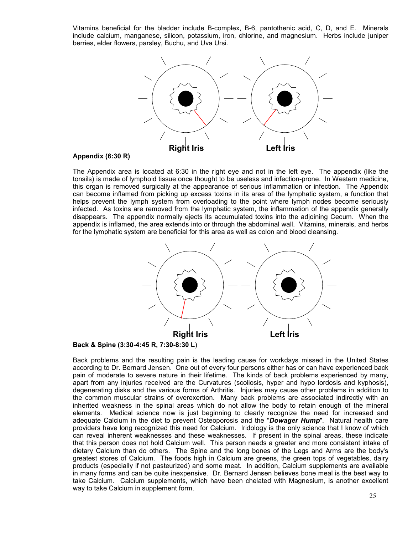Vitamins beneficial for the bladder include B-complex, B-6, pantothenic acid, C, D, and E. Minerals include calcium, manganese, silicon, potassium, iron, chlorine, and magnesium. Herbs include juniper berries, elder flowers, parsley, Buchu, and Uva Ursi.



#### **Appendix (6:30 R)**

The Appendix area is located at 6:30 in the right eye and not in the left eye. The appendix (like the tonsils) is made of lymphoid tissue once thought to be useless and infection-prone. In Western medicine, this organ is removed surgically at the appearance of serious inflammation or infection. The Appendix can become inflamed from picking up excess toxins in its area of the lymphatic system, a function that helps prevent the lymph system from overloading to the point where lymph nodes become seriously infected. As toxins are removed from the lymphatic system, the inflammation of the appendix generally disappears. The appendix normally ejects its accumulated toxins into the adjoining Cecum. When the appendix is inflamed, the area extends into or through the abdominal wall. Vitamins, minerals, and herbs for the lymphatic system are beneficial for this area as well as colon and blood cleansing.



**Back & Spine (3:30-4:45 R, 7:30-8:30 L**)

Back problems and the resulting pain is the leading cause for workdays missed in the United States according to Dr. Bernard Jensen. One out of every four persons either has or can have experienced back pain of moderate to severe nature in their lifetime. The kinds of back problems experienced by many, apart from any injuries received are the Curvatures (scoliosis, hyper and hypo lordosis and kyphosis), degenerating disks and the various forms of Arthritis. Injuries may cause other problems in addition to the common muscular strains of overexertion. Many back problems are associated indirectly with an inherited weakness in the spinal areas which do not allow the body to retain enough of the mineral elements. Medical science now is just beginning to clearly recognize the need for increased and adequate Calcium in the diet to prevent Osteoporosis and the "*Dowager Hump*". Natural health care providers have long recognized this need for Calcium. Iridology is the only science that I know of which can reveal inherent weaknesses and these weaknesses. If present in the spinal areas, these indicate that this person does not hold Calcium well. This person needs a greater and more consistent intake of dietary Calcium than do others. The Spine and the long bones of the Legs and Arms are the body's greatest stores of Calcium. The foods high in Calcium are greens, the green tops of vegetables, dairy products (especially if not pasteurized) and some meat. In addition, Calcium supplements are available in many forms and can be quite inexpensive. Dr. Bernard Jensen believes bone meal is the best way to take Calcium. Calcium supplements, which have been chelated with Magnesium, is another excellent way to take Calcium in supplement form.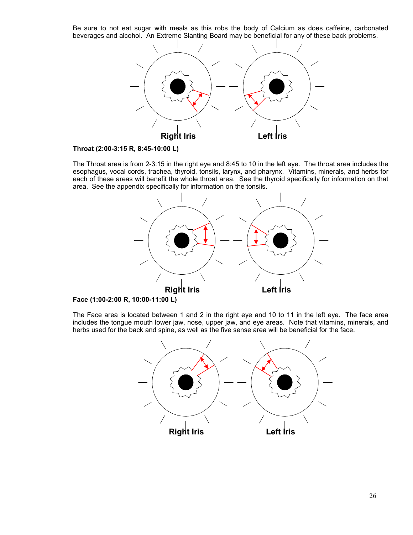Be sure to not eat sugar with meals as this robs the body of Calcium as does caffeine, carbonated beverages and alcohol. An Extreme Slanting Board may be beneficial for any of these back problems.





The Throat area is from 2-3:15 in the right eye and 8:45 to 10 in the left eye. The throat area includes the esophagus, vocal cords, trachea, thyroid, tonsils, larynx, and pharynx. Vitamins, minerals, and herbs for each of these areas will benefit the whole throat area. See the thyroid specifically for information on that area. See the appendix specifically for information on the tonsils.



**Face (1:00-2:00 R, 10:00-11:00 L)**

The Face area is located between 1 and 2 in the right eye and 10 to 11 in the left eye. The face area includes the tongue mouth lower jaw, nose, upper jaw, and eye areas. Note that vitamins, minerals, and herbs used for the back and spine, as well as the five sense area will be beneficial for the face.

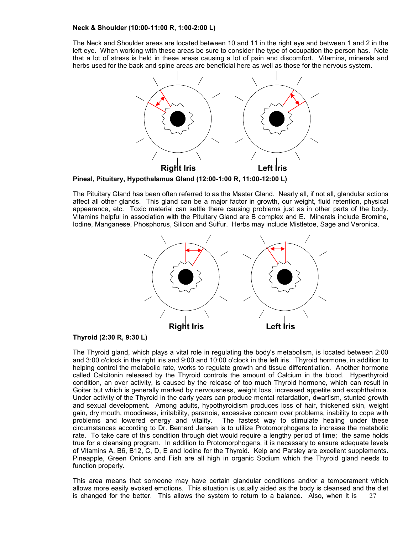#### **Neck & Shoulder (10:00-11:00 R, 1:00-2:00 L)**

The Neck and Shoulder areas are located between 10 and 11 in the right eye and between 1 and 2 in the left eye. When working with these areas be sure to consider the type of occupation the person has. Note that a lot of stress is held in these areas causing a lot of pain and discomfort. Vitamins, minerals and herbs used for the back and spine areas are beneficial here as well as those for the nervous system.



**Pineal, Pituitary, Hypothalamus Gland (12:00-1:00 R, 11:00-12:00 L)**

The Pituitary Gland has been often referred to as the Master Gland. Nearly all, if not all, glandular actions affect all other glands. This gland can be a major factor in growth, our weight, fluid retention, physical appearance, etc. Toxic material can settle there causing problems just as in other parts of the body. Vitamins helpful in association with the Pituitary Gland are B complex and E. Minerals include Bromine, Iodine, Manganese, Phosphorus, Silicon and Sulfur. Herbs may include Mistletoe, Sage and Veronica.



#### **Thyroid (2:30 R, 9:30 L)**

The Thyroid gland, which plays a vital role in regulating the body's metabolism, is located between 2:00 and 3:00 o'clock in the right iris and 9:00 and 10:00 o'clock in the left iris. Thyroid hormone, in addition to helping control the metabolic rate, works to regulate growth and tissue differentiation. Another hormone called Calcitonin released by the Thyroid controls the amount of Calcium in the blood. Hyperthyroid condition, an over activity, is caused by the release of too much Thyroid hormone, which can result in Goiter but which is generally marked by nervousness, weight loss, increased appetite and exophthalmia. Under activity of the Thyroid in the early years can produce mental retardation, dwarfism, stunted growth and sexual development. Among adults, hypothyroidism produces loss of hair, thickened skin, weight gain, dry mouth, moodiness, irritability, paranoia, excessive concern over problems, inability to cope with problems and lowered energy and vitality. The fastest way to stimulate healing under these circumstances according to Dr. Bernard Jensen is to utilize Protomorphogens to increase the metabolic rate. To take care of this condition through diet would require a lengthy period of time; the same holds true for a cleansing program. In addition to Protomorphogens, it is necessary to ensure adequate levels of Vitamins A, B6, B12, C, D, E and Iodine for the Thyroid. Kelp and Parsley are excellent supplements. Pineapple, Green Onions and Fish are all high in organic Sodium which the Thyroid gland needs to function properly.

27 This area means that someone may have certain glandular conditions and/or a temperament which allows more easily evoked emotions. This situation is usually aided as the body is cleansed and the diet is changed for the better. This allows the system to return to a balance. Also, when it is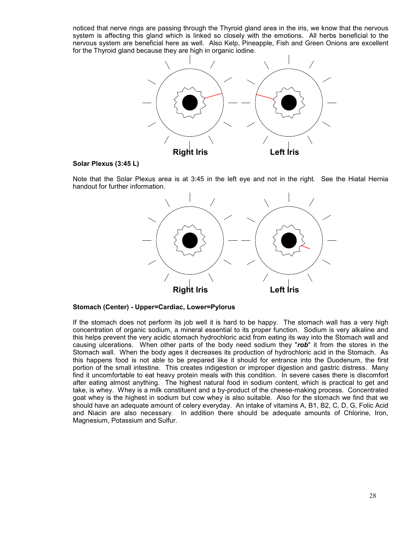noticed that nerve rings are passing through the Thyroid gland area in the iris, we know that the nervous system is affecting this gland which is linked so closely with the emotions. All herbs beneficial to the nervous system are beneficial here as well. Also Kelp, Pineapple, Fish and Green Onions are excellent for the Thyroid gland because they are high in organic iodine.



#### **Solar Plexus (3:45 L)**

Note that the Solar Plexus area is at 3:45 in the left eye and not in the right. See the Hiatal Hernia handout for further information.



**Stomach (Center) - Upper=Cardiac, Lower=Pylorus**

If the stomach does not perform its job well it is hard to be happy. The stomach wall has a very high concentration of organic sodium, a mineral essential to its proper function. Sodium is very alkaline and this helps prevent the very acidic stomach hydrochloric acid from eating its way into the Stomach wall and causing ulcerations. When other parts of the body need sodium they "*rob*" it from the stores in the Stomach wall. When the body ages it decreases its production of hydrochloric acid in the Stomach. As this happens food is not able to be prepared like it should for entrance into the Duodenum, the first portion of the small intestine. This creates indigestion or improper digestion and gastric distress. Many find it uncomfortable to eat heavy protein meals with this condition. In severe cases there is discomfort after eating almost anything. The highest natural food in sodium content, which is practical to get and take, is whey. Whey is a milk constituent and a by-product of the cheese-making process. Concentrated goat whey is the highest in sodium but cow whey is also suitable. Also for the stomach we find that we should have an adequate amount of celery everyday. An intake of vitamins A, B1, B2, C, D, G, Folic Acid and Niacin are also necessary. In addition there should be adequate amounts of Chlorine, Iron, Magnesium, Potassium and Sulfur.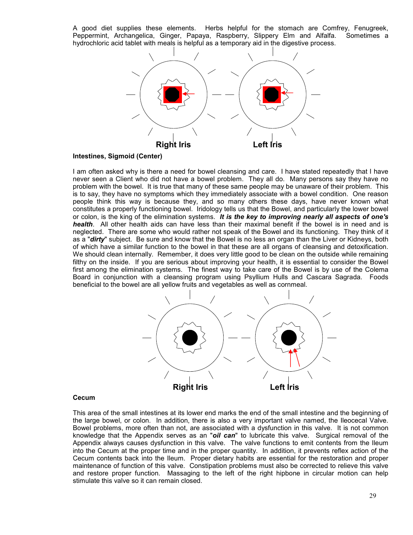A good diet supplies these elements. Herbs helpful for the stomach are Comfrey, Fenugreek, Peppermint, Archangelica, Ginger, Papaya, Raspberry, Slippery Elm and Alfalfa. Sometimes a hydrochloric acid tablet with meals is helpful as a temporary aid in the digestive process.



**Intestines, Sigmoid (Center)**

I am often asked why is there a need for bowel cleansing and care. I have stated repeatedly that I have never seen a Client who did not have a bowel problem. They all do. Many persons say they have no problem with the bowel. It is true that many of these same people may be unaware of their problem. This is to say, they have no symptoms which they immediately associate with a bowel condition. One reason people think this way is because they, and so many others these days, have never known what constitutes a properly functioning bowel. Iridology tells us that the Bowel, and particularly the lower bowel or colon, is the king of the elimination systems. *It is the key to improving nearly all aspects of one's health*. All other health aids can have less than their maximal benefit if the bowel is in need and is neglected. There are some who would rather not speak of the Bowel and its functioning. They think of it as a "*dirty*" subject. Be sure and know that the Bowel is no less an organ than the Liver or Kidneys, both of which have a similar function to the bowel in that these are all organs of cleansing and detoxification. We should clean internally. Remember, it does very little good to be clean on the outside while remaining filthy on the inside. If you are serious about improving your health, it is essential to consider the Bowel first among the elimination systems. The finest way to take care of the Bowel is by use of the Colema Board in conjunction with a cleansing program using Psyllium Hulls and Cascara Sagrada. Foods beneficial to the bowel are all yellow fruits and vegetables as well as cornmeal.



## **Cecum**

This area of the small intestines at its lower end marks the end of the small intestine and the beginning of the large bowel, or colon. In addition, there is also a very important valve named, the Ileocecal Valve. Bowel problems, more often than not, are associated with a dysfunction in this valve. It is not common knowledge that the Appendix serves as an "*oil can*" to lubricate this valve. Surgical removal of the Appendix always causes dysfunction in this valve. The valve functions to emit contents from the Ileum into the Cecum at the proper time and in the proper quantity. In addition, it prevents reflex action of the Cecum contents back into the Ileum. Proper dietary habits are essential for the restoration and proper maintenance of function of this valve. Constipation problems must also be corrected to relieve this valve and restore proper function. Massaging to the left of the right hipbone in circular motion can help stimulate this valve so it can remain closed.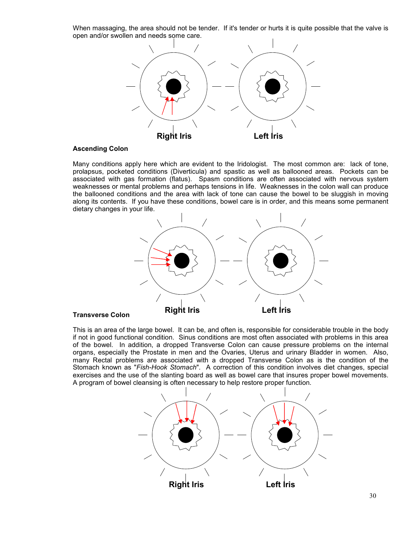When massaging, the area should not be tender. If it's tender or hurts it is quite possible that the valve is open and/or swollen and needs some care.



#### **Ascending Colon**

Many conditions apply here which are evident to the Iridologist. The most common are: lack of tone, prolapsus, pocketed conditions (Diverticula) and spastic as well as ballooned areas. Pockets can be associated with gas formation (flatus). Spasm conditions are often associated with nervous system weaknesses or mental problems and perhaps tensions in life. Weaknesses in the colon wall can produce the ballooned conditions and the area with lack of tone can cause the bowel to be sluggish in moving along its contents. If you have these conditions, bowel care is in order, and this means some permanent dietary changes in your life.



#### **Transverse Colon**

This is an area of the large bowel. It can be, and often is, responsible for considerable trouble in the body if not in good functional condition. Sinus conditions are most often associated with problems in this area of the bowel. In addition, a dropped Transverse Colon can cause pressure problems on the internal organs, especially the Prostate in men and the Ovaries, Uterus and urinary Bladder in women. Also, many Rectal problems are associated with a dropped Transverse Colon as is the condition of the Stomach known as "*Fish-Hook Stomach*". A correction of this condition involves diet changes, special exercises and the use of the slanting board as well as bowel care that insures proper bowel movements. A program of bowel cleansing is often necessary to help restore proper function.

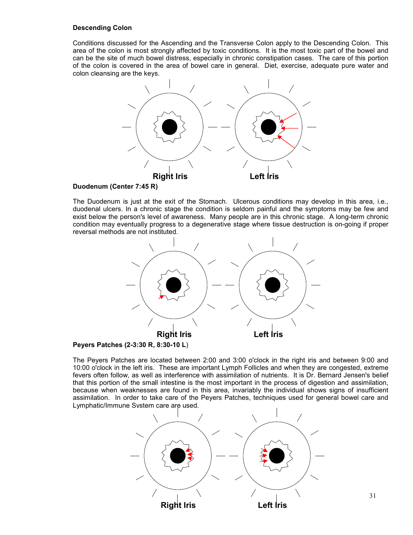## **Descending Colon**

Conditions discussed for the Ascending and the Transverse Colon apply to the Descending Colon. This area of the colon is most strongly affected by toxic conditions. It is the most toxic part of the bowel and can be the site of much bowel distress, especially in chronic constipation cases. The care of this portion of the colon is covered in the area of bowel care in general. Diet, exercise, adequate pure water and colon cleansing are the keys.



## **Duodenum (Center 7:45 R)**

The Duodenum is just at the exit of the Stomach. Ulcerous conditions may develop in this area, i.e., duodenal ulcers. In a chronic stage the condition is seldom painful and the symptoms may be few and exist below the person's level of awareness. Many people are in this chronic stage. A long-term chronic condition may eventually progress to a degenerative stage where tissue destruction is on-going if proper reversal methods are not instituted.



**Peyers Patches (2-3:30 R, 8:30-10 L**)

The Peyers Patches are located between 2:00 and 3:00 o'clock in the right iris and between 9:00 and 10:00 o'clock in the left iris. These are important Lymph Follicles and when they are congested, extreme fevers often follow, as well as interference with assimilation of nutrients. It is Dr. Bernard Jensen's belief that this portion of the small intestine is the most important in the process of digestion and assimilation, because when weaknesses are found in this area, invariably the individual shows signs of insufficient assimilation. In order to take care of the Peyers Patches, techniques used for general bowel care and Lymphatic/Immune System care are used.

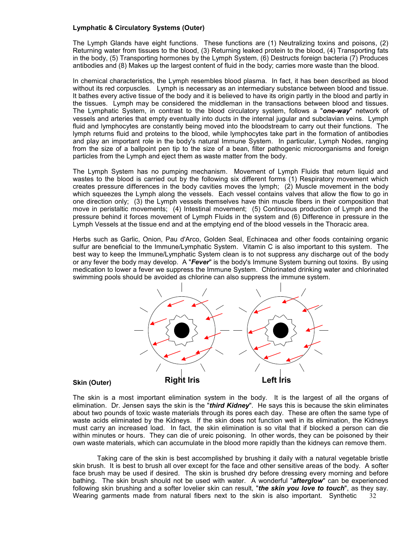## **Lymphatic & Circulatory Systems (Outer)**

The Lymph Glands have eight functions. These functions are (1) Neutralizing toxins and poisons, (2) Returning water from tissues to the blood, (3) Returning leaked protein to the blood, (4) Transporting fats in the body, (5) Transporting hormones by the Lymph System, (6) Destructs foreign bacteria (7) Produces antibodies and (8) Makes up the largest content of fluid in the body; carries more waste than the blood.

In chemical characteristics, the Lymph resembles blood plasma. In fact, it has been described as blood without its red corpuscles. Lymph is necessary as an intermediary substance between blood and tissue. It bathes every active tissue of the body and it is believed to have its origin partly in the blood and partly in the tissues. Lymph may be considered the middleman in the transactions between blood and tissues. The Lymphatic System, in contrast to the blood circulatory system, follows a "*one-way*" network of vessels and arteries that empty eventually into ducts in the internal jugular and subclavian veins. Lymph fluid and lymphocytes are constantly being moved into the bloodstream to carry out their functions. The lymph returns fluid and proteins to the blood, while lymphocytes take part in the formation of antibodies and play an important role in the body's natural Immune System. In particular, Lymph Nodes, ranging from the size of a ballpoint pen tip to the size of a bean, filter pathogenic microorganisms and foreign particles from the Lymph and eject them as waste matter from the body.

The Lymph System has no pumping mechanism. Movement of Lymph Fluids that return liquid and wastes to the blood is carried out by the following six different forms (1) Respiratory movement which creates pressure differences in the body cavities moves the lymph; (2) Muscle movement in the body which squeezes the Lymph along the vessels. Each vessel contains valves that allow the flow to go in one direction only; (3) the Lymph vessels themselves have thin muscle fibers in their composition that move in peristaltic movements; (4) Intestinal movement; (5) Continuous production of Lymph and the pressure behind it forces movement of Lymph Fluids in the system and (6) Difference in pressure in the Lymph Vessels at the tissue end and at the emptying end of the blood vessels in the Thoracic area.

Herbs such as Garlic, Onion, Pau d'Arco, Golden Seal, Echinacea and other foods containing organic sulfur are beneficial to the Immune/Lymphatic System. Vitamin C is also important to this system. The best way to keep the Immune/Lymphatic System clean is to not suppress any discharge out of the body or any fever the body may develop. A "*Fever*" is the body's Immune System burning out toxins. By using medication to lower a fever we suppress the Immune System. Chlorinated drinking water and chlorinated swimming pools should be avoided as chlorine can also suppress the immune system.



## **Skin (Outer)**

The skin is a most important elimination system in the body. It is the largest of all the organs of elimination. Dr. Jensen says the skin is the "*third Kidney*". He says this is because the skin eliminates about two pounds of toxic waste materials through its pores each day. These are often the same type of waste acids eliminated by the Kidneys. If the skin does not function well in its elimination, the Kidneys must carry an increased load. In fact, the skin elimination is so vital that if blocked a person can die within minutes or hours. They can die of ureic poisoning. In other words, they can be poisoned by their own waste materials, which can accumulate in the blood more rapidly than the kidneys can remove them.

32 Taking care of the skin is best accomplished by brushing it daily with a natural vegetable bristle skin brush. It is best to brush all over except for the face and other sensitive areas of the body. A softer face brush may be used if desired. The skin is brushed dry before dressing every morning and before bathing. The skin brush should not be used with water. A wonderful "*afterglow*" can be experienced following skin brushing and a softer lovelier skin can result, "*the skin you love to touch*", as they say. Wearing garments made from natural fibers next to the skin is also important. Synthetic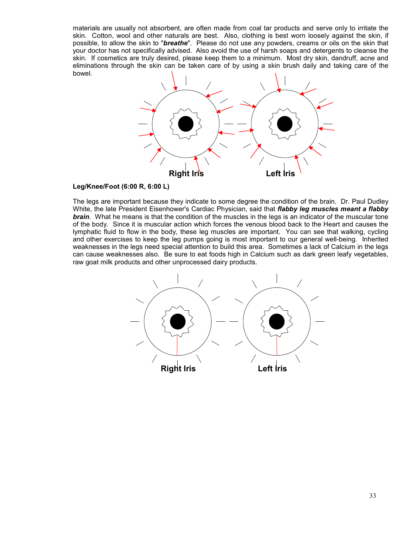materials are usually not absorbent, are often made from coal tar products and serve only to irritate the skin. Cotton, wool and other naturals are best. Also, clothing is best worn loosely against the skin, if possible, to allow the skin to "*breathe*". Please do not use any powders, creams or oils on the skin that your doctor has not specifically advised. Also avoid the use of harsh soaps and detergents to cleanse the skin. If cosmetics are truly desired, please keep them to a minimum. Most dry skin, dandruff, acne and eliminations through the skin can be taken care of by using a skin brush daily and taking care of the bowel.



# **Leg/Knee/Foot (6:00 R, 6:00 L)**

The legs are important because they indicate to some degree the condition of the brain. Dr. Paul Dudley White, the late President Eisenhower's Cardiac Physician, said that *flabby leg muscles meant a flabby brain*. What he means is that the condition of the muscles in the legs is an indicator of the muscular tone of the body. Since it is muscular action which forces the venous blood back to the Heart and causes the lymphatic fluid to flow in the body, these leg muscles are important. You can see that walking, cycling and other exercises to keep the leg pumps going is most important to our general well-being. Inherited weaknesses in the legs need special attention to build this area. Sometimes a lack of Calcium in the legs can cause weaknesses also. Be sure to eat foods high in Calcium such as dark green leafy vegetables, raw goat milk products and other unprocessed dairy products.

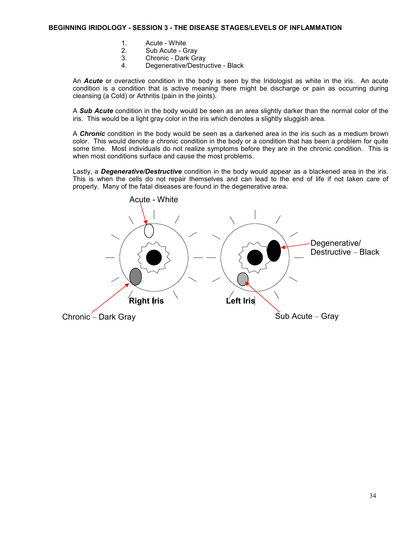- 1. Acute White
- 2. Sub Acute Gray
- 3. Chronic Dark Gray
- 4. Degenerative/Destructive Black

An *Acute* or overactive condition in the body is seen by the Iridologist as white in the iris. An acute condition is a condition that is active meaning there might be discharge or pain as occurring during cleansing (a Cold) or Arthritis (pain in the joints).

A *Sub Acute* condition in the body would be seen as an area slightly darker than the normal color of the iris. This would be a light gray color in the iris which denotes a slightly sluggish area.

A *Chronic* condition in the body would be seen as a darkened area in the iris such as a medium brown color. This would denote a chronic condition in the body or a condition that has been a problem for quite some time. Most individuals do not realize symptoms before they are in the chronic condition. This is when most conditions surface and cause the most problems.

Lastly, a *Degenerative/Destructive* condition in the body would appear as a blackened area in the iris. This is when the cells do not repair themselves and can lead to the end of life if not taken care of properly. Many of the fatal diseases are found in the degenerative area.

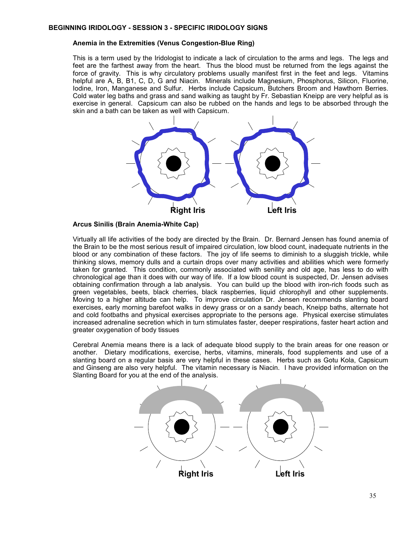#### **Anemia in the Extremities (Venus Congestion-Blue Ring)**

This is a term used by the Iridologist to indicate a lack of circulation to the arms and legs. The legs and feet are the farthest away from the heart. Thus the blood must be returned from the legs against the force of gravity. This is why circulatory problems usually manifest first in the feet and legs. Vitamins helpful are A, B, B1, C, D, G and Niacin. Minerals include Magnesium, Phosphorus, Silicon, Fluorine, Iodine, Iron, Manganese and Sulfur. Herbs include Capsicum, Butchers Broom and Hawthorn Berries. Cold water leg baths and grass and sand walking as taught by Fr. Sebastian Kneipp are very helpful as is exercise in general. Capsicum can also be rubbed on the hands and legs to be absorbed through the skin and a bath can be taken as well with Capsicum.



#### **Arcus Sinilis (Brain Anemia-White Cap)**

Virtually all life activities of the body are directed by the Brain. Dr. Bernard Jensen has found anemia of the Brain to be the most serious result of impaired circulation, low blood count, inadequate nutrients in the blood or any combination of these factors. The joy of life seems to diminish to a sluggish trickle, while thinking slows, memory dulls and a curtain drops over many activities and abilities which were formerly taken for granted. This condition, commonly associated with senility and old age, has less to do with chronological age than it does with our way of life. If a low blood count is suspected, Dr. Jensen advises obtaining confirmation through a lab analysis. You can build up the blood with iron-rich foods such as green vegetables, beets, black cherries, black raspberries, liquid chlorophyll and other supplements. Moving to a higher altitude can help. To improve circulation Dr. Jensen recommends slanting board exercises, early morning barefoot walks in dewy grass or on a sandy beach, Kneipp baths, alternate hot and cold footbaths and physical exercises appropriate to the persons age. Physical exercise stimulates increased adrenaline secretion which in turn stimulates faster, deeper respirations, faster heart action and greater oxygenation of body tissues

Cerebral Anemia means there is a lack of adequate blood supply to the brain areas for one reason or another. Dietary modifications, exercise, herbs, vitamins, minerals, food supplements and use of a slanting board on a regular basis are very helpful in these cases. Herbs such as Gotu Kola, Capsicum and Ginseng are also very helpful. The vitamin necessary is Niacin. I have provided information on the Slanting Board for you at the end of the analysis.

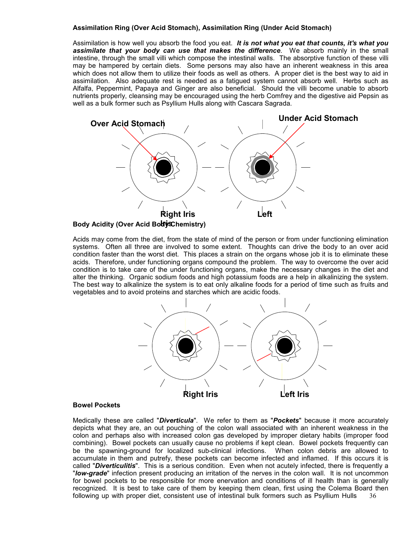## **Assimilation Ring (Over Acid Stomach), Assimilation Ring (Under Acid Stomach)**

Assimilation is how well you absorb the food you eat. *It is not what you eat that counts, it's what you assimilate that your body can use that makes the difference*. We absorb mainly in the small intestine, through the small villi which compose the intestinal walls. The absorptive function of these villi may be hampered by certain diets. Some persons may also have an inherent weakness in this area which does not allow them to utilize their foods as well as others. A proper diet is the best way to aid in assimilation. Also adequate rest is needed as a fatigued system cannot absorb well. Herbs such as Alfalfa, Peppermint, Papaya and Ginger are also beneficial. Should the villi become unable to absorb nutrients properly, cleansing may be encouraged using the herb Comfrey and the digestive aid Pepsin as well as a bulk former such as Psyllium Hulls along with Cascara Sagrada.



Acids may come from the diet, from the state of mind of the person or from under functioning elimination systems. Often all three are involved to some extent. Thoughts can drive the body to an over acid condition faster than the worst diet. This places a strain on the organs whose job it is to eliminate these acids. Therefore, under functioning organs compound the problem. The way to overcome the over acid condition is to take care of the under functioning organs, make the necessary changes in the diet and alter the thinking. Organic sodium foods and high potassium foods are a help in alkalinizing the system. The best way to alkalinize the system is to eat only alkaline foods for a period of time such as fruits and vegetables and to avoid proteins and starches which are acidic foods.



#### **Bowel Pockets**

36 Medically these are called "*Diverticula*". We refer to them as "*Pockets*" because it more accurately depicts what they are, an out pouching of the colon wall associated with an inherent weakness in the colon and perhaps also with increased colon gas developed by improper dietary habits (improper food combining). Bowel pockets can usually cause no problems if kept clean. Bowel pockets frequently can be the spawning-ground for localized sub-clinical infections. When colon debris are allowed to accumulate in them and putrefy, these pockets can become infected and inflamed. If this occurs it is called "*Diverticulitis*". This is a serious condition. Even when not acutely infected, there is frequently a "*low-grade*" infection present producing an irritation of the nerves in the colon wall. It is not uncommon for bowel pockets to be responsible for more enervation and conditions of ill health than is generally recognized. It is best to take care of them by keeping them clean, first using the Colema Board then following up with proper diet, consistent use of intestinal bulk formers such as Psyllium Hulls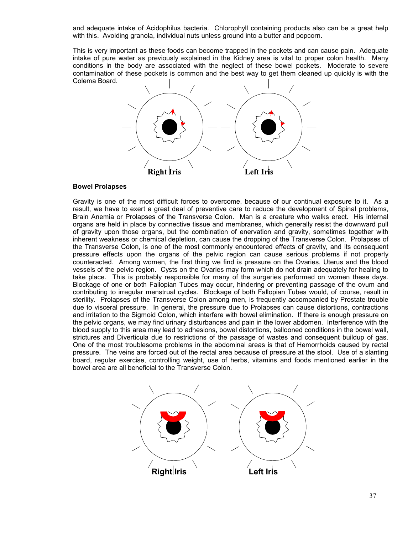and adequate intake of Acidophilus bacteria. Chlorophyll containing products also can be a great help with this. Avoiding granola, individual nuts unless ground into a butter and popcorn.

This is very important as these foods can become trapped in the pockets and can cause pain. Adequate intake of pure water as previously explained in the Kidney area is vital to proper colon health. Many conditions in the body are associated with the neglect of these bowel pockets. Moderate to severe contamination of these pockets is common and the best way to get them cleaned up quickly is with the Colema Board.



#### **Bowel Prolapses**

Gravity is one of the most difficult forces to overcome, because of our continual exposure to it. As a result, we have to exert a great deal of preventive care to reduce the development of Spinal problems, Brain Anemia or Prolapses of the Transverse Colon. Man is a creature who walks erect. His internal organs are held in place by connective tissue and membranes, which generally resist the downward pull of gravity upon those organs, but the combination of enervation and gravity, sometimes together with inherent weakness or chemical depletion, can cause the dropping of the Transverse Colon. Prolapses of the Transverse Colon, is one of the most commonly encountered effects of gravity, and its consequent pressure effects upon the organs of the pelvic region can cause serious problems if not properly counteracted. Among women, the first thing we find is pressure on the Ovaries, Uterus and the blood vessels of the pelvic region. Cysts on the Ovaries may form which do not drain adequately for healing to take place. This is probably responsible for many of the surgeries performed on women these days. Blockage of one or both Fallopian Tubes may occur, hindering or preventing passage of the ovum and contributing to irregular menstrual cycles. Blockage of both Fallopian Tubes would, of course, result in sterility. Prolapses of the Transverse Colon among men, is frequently accompanied by Prostate trouble due to visceral pressure. In general, the pressure due to Prolapses can cause distortions, contractions and irritation to the Sigmoid Colon, which interfere with bowel elimination. If there is enough pressure on the pelvic organs, we may find urinary disturbances and pain in the lower abdomen. Interference with the blood supply to this area may lead to adhesions, bowel distortions, ballooned conditions in the bowel wall, strictures and Diverticula due to restrictions of the passage of wastes and consequent buildup of gas. One of the most troublesome problems in the abdominal areas is that of Hemorrhoids caused by rectal pressure. The veins are forced out of the rectal area because of pressure at the stool. Use of a slanting board, regular exercise, controlling weight, use of herbs, vitamins and foods mentioned earlier in the bowel area are all beneficial to the Transverse Colon.

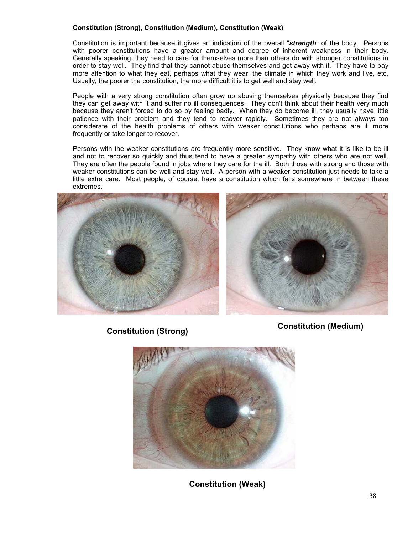## **Constitution (Strong), Constitution (Medium), Constitution (Weak)**

Constitution is important because it gives an indication of the overall "*strength*" of the body. Persons with poorer constitutions have a greater amount and degree of inherent weakness in their body. Generally speaking, they need to care for themselves more than others do with stronger constitutions in order to stay well. They find that they cannot abuse themselves and get away with it. They have to pay more attention to what they eat, perhaps what they wear, the climate in which they work and live, etc. Usually, the poorer the constitution, the more difficult it is to get well and stay well.

People with a very strong constitution often grow up abusing themselves physically because they find they can get away with it and suffer no ill consequences. They don't think about their health very much because they aren't forced to do so by feeling badly. When they do become ill, they usually have little patience with their problem and they tend to recover rapidly. Sometimes they are not always too considerate of the health problems of others with weaker constitutions who perhaps are ill more frequently or take longer to recover.

Persons with the weaker constitutions are frequently more sensitive. They know what it is like to be ill and not to recover so quickly and thus tend to have a greater sympathy with others who are not well. They are often the people found in jobs where they care for the ill. Both those with strong and those with weaker constitutions can be well and stay well. A person with a weaker constitution just needs to take a little extra care. Most people, of course, have a constitution which falls somewhere in between these extremes.





**Constitution (Strong) Constitution (Medium)**



**Constitution (Weak)**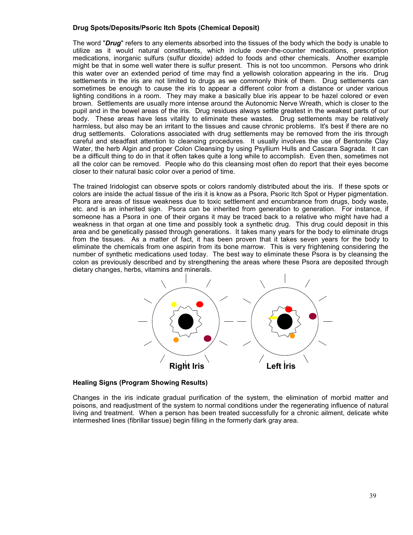## **Drug Spots/Deposits/Psoric Itch Spots (Chemical Deposit)**

The word "*Drug*" refers to any elements absorbed into the tissues of the body which the body is unable to utilize as it would natural constituents, which include over-the-counter medications, prescription medications, inorganic sulfurs (sulfur dioxide) added to foods and other chemicals. Another example might be that in some well water there is sulfur present. This is not too uncommon. Persons who drink this water over an extended period of time may find a yellowish coloration appearing in the iris. Drug settlements in the iris are not limited to drugs as we commonly think of them. Drug settlements can sometimes be enough to cause the iris to appear a different color from a distance or under various lighting conditions in a room. They may make a basically blue iris appear to be hazel colored or even brown. Settlements are usually more intense around the Autonomic Nerve Wreath, which is closer to the pupil and in the bowel areas of the iris. Drug residues always settle greatest in the weakest parts of our body. These areas have less vitality to eliminate these wastes. Drug settlements may be relatively harmless, but also may be an irritant to the tissues and cause chronic problems. It's best if there are no drug settlements. Colorations associated with drug settlements may be removed from the iris through careful and steadfast attention to cleansing procedures. It usually involves the use of Bentonite Clay Water, the herb Algin and proper Colon Cleansing by using Psyllium Hulls and Cascara Sagrada. It can be a difficult thing to do in that it often takes quite a long while to accomplish. Even then, sometimes not all the color can be removed. People who do this cleansing most often do report that their eyes become closer to their natural basic color over a period of time.

The trained Iridologist can observe spots or colors randomly distributed about the iris. If these spots or colors are inside the actual tissue of the iris it is know as a Psora, Psoric Itch Spot or Hyper pigmentation. Psora are areas of tissue weakness due to toxic settlement and encumbrance from drugs, body waste, etc. and is an inherited sign. Psora can be inherited from generation to generation. For instance, if someone has a Psora in one of their organs it may be traced back to a relative who might have had a weakness in that organ at one time and possibly took a synthetic drug. This drug could deposit in this area and be genetically passed through generations. It takes many years for the body to eliminate drugs from the tissues. As a matter of fact, it has been proven that it takes seven years for the body to eliminate the chemicals from one aspirin from its bone marrow. This is very frightening considering the number of synthetic medications used today. The best way to eliminate these Psora is by cleansing the colon as previously described and by strengthening the areas where these Psora are deposited through dietary changes, herbs, vitamins and minerals.



## **Healing Signs (Program Showing Results)**

Changes in the iris indicate gradual purification of the system, the elimination of morbid matter and poisons, and readjustment of the system to normal conditions under the regenerating influence of natural living and treatment. When a person has been treated successfully for a chronic ailment, delicate white intermeshed lines (fibrillar tissue) begin filling in the formerly dark gray area.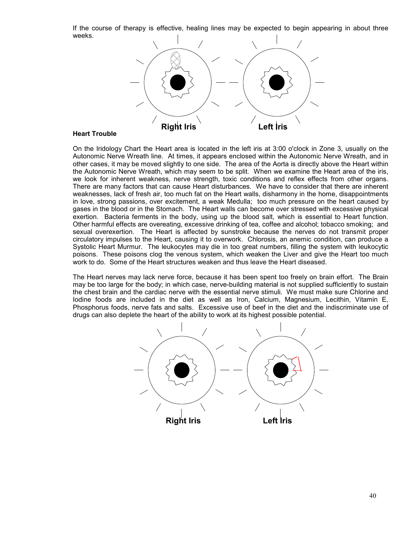If the course of therapy is effective, healing lines may be expected to begin appearing in about three weeks.



## **Heart Trouble**

On the Iridology Chart the Heart area is located in the left iris at 3:00 o'clock in Zone 3, usually on the Autonomic Nerve Wreath line. At times, it appears enclosed within the Autonomic Nerve Wreath, and in other cases, it may be moved slightly to one side. The area of the Aorta is directly above the Heart within the Autonomic Nerve Wreath, which may seem to be split. When we examine the Heart area of the iris, we look for inherent weakness, nerve strength, toxic conditions and reflex effects from other organs. There are many factors that can cause Heart disturbances. We have to consider that there are inherent weaknesses, lack of fresh air, too much fat on the Heart walls, disharmony in the home, disappointments in love, strong passions, over excitement, a weak Medulla; too much pressure on the heart caused by gases in the blood or in the Stomach. The Heart walls can become over stressed with excessive physical exertion. Bacteria ferments in the body, using up the blood salt, which is essential to Heart function. Other harmful effects are overeating, excessive drinking of tea, coffee and alcohol; tobacco smoking; and sexual overexertion. The Heart is affected by sunstroke because the nerves do not transmit proper circulatory impulses to the Heart, causing it to overwork. Chlorosis, an anemic condition, can produce a Systolic Heart Murmur. The leukocytes may die in too great numbers, filling the system with leukocytic poisons. These poisons clog the venous system, which weaken the Liver and give the Heart too much work to do. Some of the Heart structures weaken and thus leave the Heart diseased.

The Heart nerves may lack nerve force, because it has been spent too freely on brain effort. The Brain may be too large for the body; in which case, nerve-building material is not supplied sufficiently to sustain the chest brain and the cardiac nerve with the essential nerve stimuli. We must make sure Chlorine and Iodine foods are included in the diet as well as Iron, Calcium, Magnesium, Lecithin, Vitamin E, Phosphorus foods, nerve fats and salts. Excessive use of beef in the diet and the indiscriminate use of drugs can also deplete the heart of the ability to work at its highest possible potential.

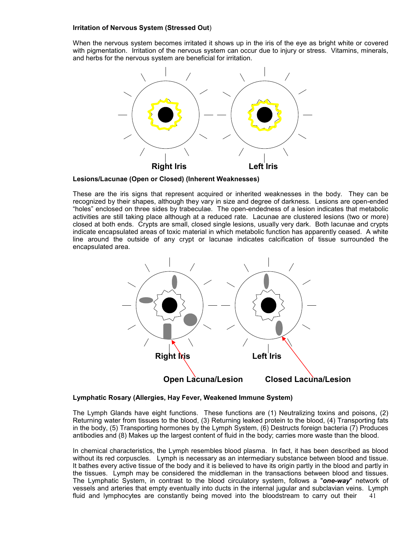## **Irritation of Nervous System (Stressed Out**)

When the nervous system becomes irritated it shows up in the iris of the eye as bright white or covered with pigmentation. Irritation of the nervous system can occur due to injury or stress. Vitamins, minerals, and herbs for the nervous system are beneficial for irritation.



**Lesions/Lacunae (Open or Closed) (Inherent Weaknesses)**

These are the iris signs that represent acquired or inherited weaknesses in the body. They can be recognized by their shapes, although they vary in size and degree of darkness. Lesions are open-ended "holes" enclosed on three sides by trabeculae. The open-endedness of a lesion indicates that metabolic activities are still taking place although at a reduced rate. Lacunae are clustered lesions (two or more) closed at both ends. Crypts are small, closed single lesions, usually very dark. Both lacunae and crypts indicate encapsulated areas of toxic material in which metabolic function has apparently ceased. A white line around the outside of any crypt or lacunae indicates calcification of tissue surrounded the encapsulated area.



## **Lymphatic Rosary (Allergies, Hay Fever, Weakened Immune System)**

The Lymph Glands have eight functions. These functions are (1) Neutralizing toxins and poisons, (2) Returning water from tissues to the blood, (3) Returning leaked protein to the blood, (4) Transporting fats in the body, (5) Transporting hormones by the Lymph System, (6) Destructs foreign bacteria (7) Produces antibodies and (8) Makes up the largest content of fluid in the body; carries more waste than the blood.

41 In chemical characteristics, the Lymph resembles blood plasma. In fact, it has been described as blood without its red corpuscles. Lymph is necessary as an intermediary substance between blood and tissue. It bathes every active tissue of the body and it is believed to have its origin partly in the blood and partly in the tissues. Lymph may be considered the middleman in the transactions between blood and tissues. The Lymphatic System, in contrast to the blood circulatory system, follows a "*one-way*" network of vessels and arteries that empty eventually into ducts in the internal jugular and subclavian veins. Lymph fluid and lymphocytes are constantly being moved into the bloodstream to carry out their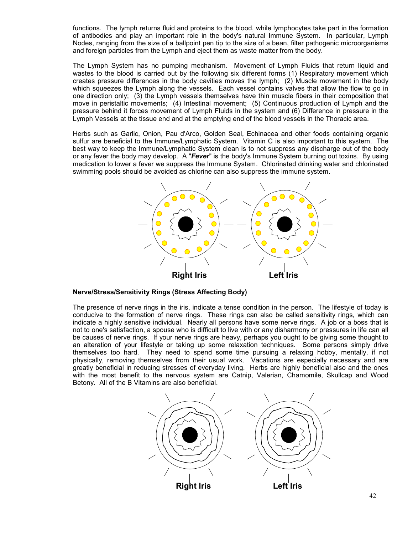functions. The lymph returns fluid and proteins to the blood, while lymphocytes take part in the formation of antibodies and play an important role in the body's natural Immune System. In particular, Lymph Nodes, ranging from the size of a ballpoint pen tip to the size of a bean, filter pathogenic microorganisms and foreign particles from the Lymph and eject them as waste matter from the body.

The Lymph System has no pumping mechanism. Movement of Lymph Fluids that return liquid and wastes to the blood is carried out by the following six different forms (1) Respiratory movement which creates pressure differences in the body cavities moves the lymph; (2) Muscle movement in the body which squeezes the Lymph along the vessels. Each vessel contains valves that allow the flow to go in one direction only; (3) the Lymph vessels themselves have thin muscle fibers in their composition that move in peristaltic movements; (4) Intestinal movement; (5) Continuous production of Lymph and the pressure behind it forces movement of Lymph Fluids in the system and (6) Difference in pressure in the Lymph Vessels at the tissue end and at the emptying end of the blood vessels in the Thoracic area.

Herbs such as Garlic, Onion, Pau d'Arco, Golden Seal, Echinacea and other foods containing organic sulfur are beneficial to the Immune/Lymphatic System. Vitamin C is also important to this system. The best way to keep the Immune/Lymphatic System clean is to not suppress any discharge out of the body or any fever the body may develop. A "*Fever*" is the body's Immune System burning out toxins. By using medication to lower a fever we suppress the Immune System. Chlorinated drinking water and chlorinated swimming pools should be avoided as chlorine can also suppress the immune system.



## **Nerve/Stress/Sensitivity Rings (Stress Affecting Body)**

The presence of nerve rings in the iris, indicate a tense condition in the person. The lifestyle of today is conducive to the formation of nerve rings. These rings can also be called sensitivity rings, which can indicate a highly sensitive individual. Nearly all persons have some nerve rings. A job or a boss that is not to one's satisfaction, a spouse who is difficult to live with or any disharmony or pressures in life can all be causes of nerve rings. If your nerve rings are heavy, perhaps you ought to be giving some thought to an alteration of your lifestyle or taking up some relaxation techniques. Some persons simply drive themselves too hard. They need to spend some time pursuing a relaxing hobby, mentally, if not physically, removing themselves from their usual work. Vacations are especially necessary and are greatly beneficial in reducing stresses of everyday living. Herbs are highly beneficial also and the ones with the most benefit to the nervous system are Catnip, Valerian, Chamomile, Skullcap and Wood Betony. All of the B Vitamins are also beneficial.

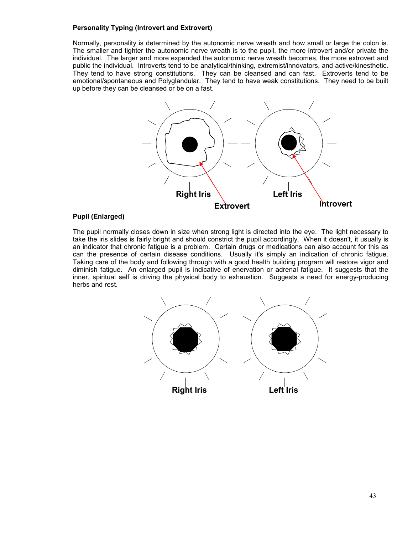## **Personality Typing (Introvert and Extrovert)**

Normally, personality is determined by the autonomic nerve wreath and how small or large the colon is. The smaller and tighter the autonomic nerve wreath is to the pupil, the more introvert and/or private the individual. The larger and more expended the autonomic nerve wreath becomes, the more extrovert and public the individual. Introverts tend to be analytical/thinking, extremist/innovators, and active/kinesthetic. They tend to have strong constitutions. They can be cleansed and can fast. Extroverts tend to be emotional/spontaneous and Polyglandular. They tend to have weak constitutions. They need to be built up before they can be cleansed or be on a fast.



## **Pupil (Enlarged)**

The pupil normally closes down in size when strong light is directed into the eye. The light necessary to take the iris slides is fairly bright and should constrict the pupil accordingly. When it doesn't, it usually is an indicator that chronic fatigue is a problem. Certain drugs or medications can also account for this as can the presence of certain disease conditions. Usually it's simply an indication of chronic fatigue. Taking care of the body and following through with a good health building program will restore vigor and diminish fatigue. An enlarged pupil is indicative of enervation or adrenal fatigue. It suggests that the inner, spiritual self is driving the physical body to exhaustion. Suggests a need for energy-producing herbs and rest.

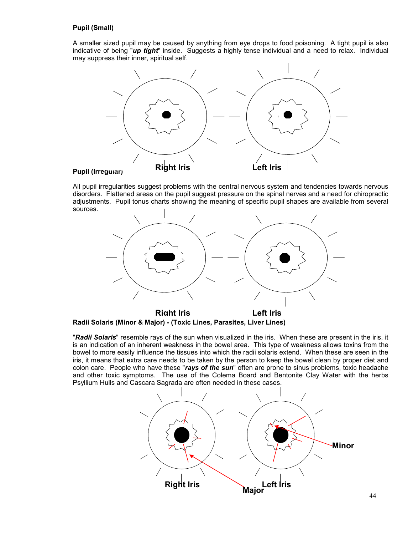# **Pupil (Small)**

A smaller sized pupil may be caused by anything from eye drops to food poisoning. A tight pupil is also indicative of being "*up tight*" inside. Suggests a highly tense individual and a need to relax. Individual may suppress their inner, spiritual self.



## **Pupil (Irregular)**

All pupil irregularities suggest problems with the central nervous system and tendencies towards nervous disorders. Flattened areas on the pupil suggest pressure on the spinal nerves and a need for chiropractic adjustments. Pupil tonus charts showing the meaning of specific pupil shapes are available from several sources.



**Radii Solaris (Minor & Major) - (Toxic Lines, Parasites, Liver Lines)**

"*Radii Solaris*" resemble rays of the sun when visualized in the iris. When these are present in the iris, it is an indication of an inherent weakness in the bowel area. This type of weakness allows toxins from the bowel to more easily influence the tissues into which the radii solaris extend. When these are seen in the iris, it means that extra care needs to be taken by the person to keep the bowel clean by proper diet and colon care. People who have these "*rays of the sun*" often are prone to sinus problems, toxic headache and other toxic symptoms. The use of the Colema Board and Bentonite Clay Water with the herbs Psyllium Hulls and Cascara Sagrada are often needed in these cases.

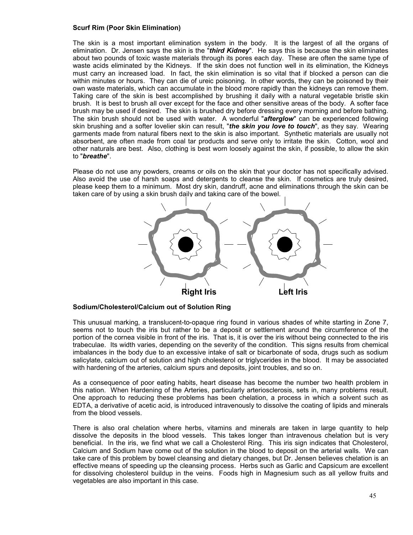## **Scurf Rim (Poor Skin Elimination)**

The skin is a most important elimination system in the body. It is the largest of all the organs of elimination. Dr. Jensen says the skin is the "*third Kidney*". He says this is because the skin eliminates about two pounds of toxic waste materials through its pores each day. These are often the same type of waste acids eliminated by the Kidneys. If the skin does not function well in its elimination, the Kidneys must carry an increased load. In fact, the skin elimination is so vital that if blocked a person can die within minutes or hours. They can die of ureic poisoning. In other words, they can be poisoned by their own waste materials, which can accumulate in the blood more rapidly than the kidneys can remove them. Taking care of the skin is best accomplished by brushing it daily with a natural vegetable bristle skin brush. It is best to brush all over except for the face and other sensitive areas of the body. A softer face brush may be used if desired. The skin is brushed dry before dressing every morning and before bathing. The skin brush should not be used with water. A wonderful "*afterglow*" can be experienced following skin brushing and a softer lovelier skin can result, "*the skin you love to touch*", as they say. Wearing garments made from natural fibers next to the skin is also important. Synthetic materials are usually not absorbent, are often made from coal tar products and serve only to irritate the skin. Cotton, wool and other naturals are best. Also, clothing is best worn loosely against the skin, if possible, to allow the skin to "*breathe*".

Please do not use any powders, creams or oils on the skin that your doctor has not specifically advised. Also avoid the use of harsh soaps and detergents to cleanse the skin. If cosmetics are truly desired, please keep them to a minimum. Most dry skin, dandruff, acne and eliminations through the skin can be taken care of by using a skin brush daily and taking care of the bowel.



## **Sodium/Cholesterol/Calcium out of Solution Ring**

This unusual marking, a translucent-to-opaque ring found in various shades of white starting in Zone 7, seems not to touch the iris but rather to be a deposit or settlement around the circumference of the portion of the cornea visible in front of the iris. That is, it is over the iris without being connected to the iris trabeculae. Its width varies, depending on the severity of the condition. This signs results from chemical imbalances in the body due to an excessive intake of salt or bicarbonate of soda, drugs such as sodium salicylate, calcium out of solution and high cholesterol or triglycerides in the blood. It may be associated with hardening of the arteries, calcium spurs and deposits, joint troubles, and so on.

As a consequence of poor eating habits, heart disease has become the number two health problem in this nation. When Hardening of the Arteries, particularly arteriosclerosis, sets in, many problems result. One approach to reducing these problems has been chelation, a process in which a solvent such as EDTA, a derivative of acetic acid, is introduced intravenously to dissolve the coating of lipids and minerals from the blood vessels.

There is also oral chelation where herbs, vitamins and minerals are taken in large quantity to help dissolve the deposits in the blood vessels. This takes longer than intravenous chelation but is very beneficial. In the iris, we find what we call a Cholesterol Ring. This iris sign indicates that Cholesterol, Calcium and Sodium have come out of the solution in the blood to deposit on the arterial walls. We can take care of this problem by bowel cleansing and dietary changes, but Dr. Jensen believes chelation is an effective means of speeding up the cleansing process. Herbs such as Garlic and Capsicum are excellent for dissolving cholesterol buildup in the veins. Foods high in Magnesium such as all yellow fruits and vegetables are also important in this case.